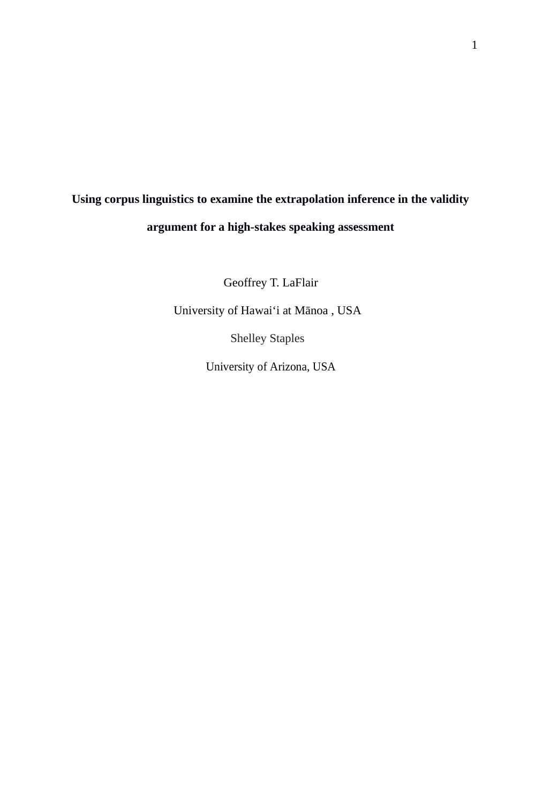# **Using corpus linguistics to examine the extrapolation inference in the validity argument for a high-stakes speaking assessment**

Geoffrey T. LaFlair

University of Hawaiʻi at Mānoa , USA

Shelley Staples

University of Arizona, USA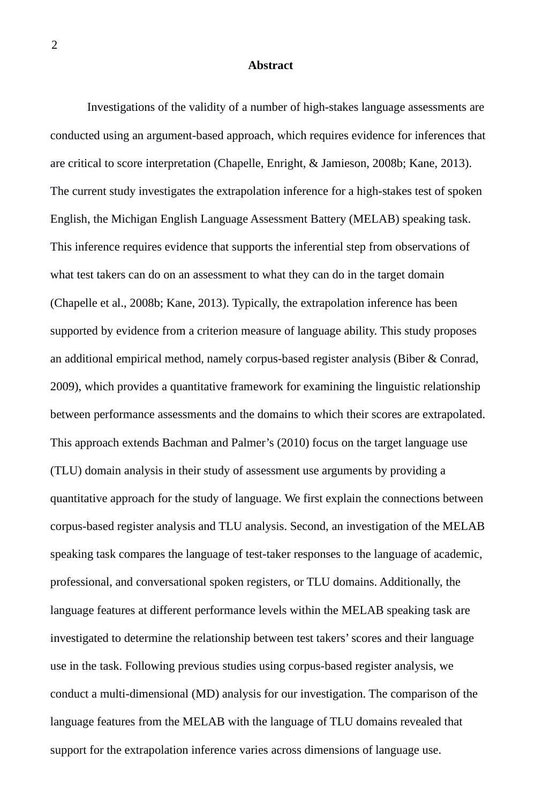## **Abstract**

Investigations of the validity of a number of high-stakes language assessments are conducted using an argument-based approach, which requires evidence for inferences that are critical to score interpretation (Chapelle, Enright, & Jamieson, 2008b; Kane, 2013). The current study investigates the extrapolation inference for a high-stakes test of spoken English, the Michigan English Language Assessment Battery (MELAB) speaking task. This inference requires evidence that supports the inferential step from observations of what test takers can do on an assessment to what they can do in the target domain (Chapelle et al., 2008b; Kane, 2013). Typically, the extrapolation inference has been supported by evidence from a criterion measure of language ability. This study proposes an additional empirical method, namely corpus-based register analysis (Biber & Conrad, 2009), which provides a quantitative framework for examining the linguistic relationship between performance assessments and the domains to which their scores are extrapolated. This approach extends Bachman and Palmer's (2010) focus on the target language use (TLU) domain analysis in their study of assessment use arguments by providing a quantitative approach for the study of language. We first explain the connections between corpus-based register analysis and TLU analysis. Second, an investigation of the MELAB speaking task compares the language of test-taker responses to the language of academic, professional, and conversational spoken registers, or TLU domains. Additionally, the language features at different performance levels within the MELAB speaking task are investigated to determine the relationship between test takers' scores and their language use in the task. Following previous studies using corpus-based register analysis, we conduct a multi-dimensional (MD) analysis for our investigation. The comparison of the language features from the MELAB with the language of TLU domains revealed that support for the extrapolation inference varies across dimensions of language use.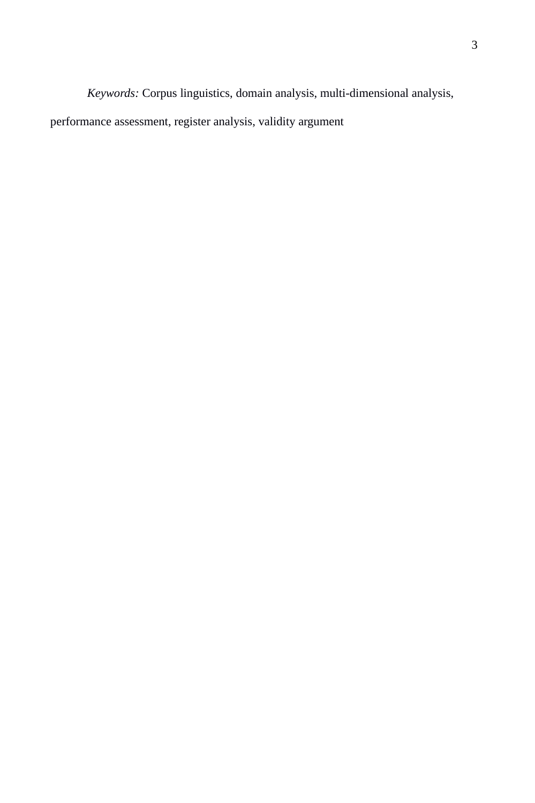*Keywords:* Corpus linguistics, domain analysis, multi-dimensional analysis, performance assessment, register analysis, validity argument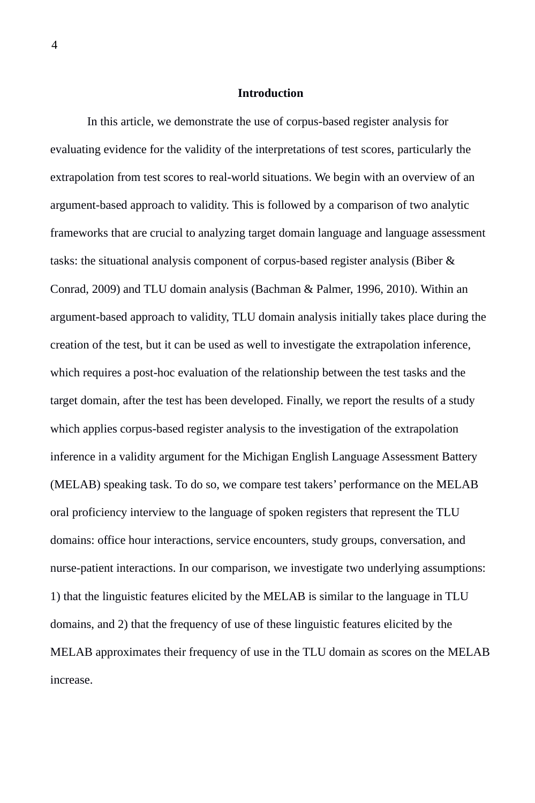# **Introduction**

In this article, we demonstrate the use of corpus-based register analysis for evaluating evidence for the validity of the interpretations of test scores, particularly the extrapolation from test scores to real-world situations. We begin with an overview of an argument-based approach to validity. This is followed by a comparison of two analytic frameworks that are crucial to analyzing target domain language and language assessment tasks: the situational analysis component of corpus-based register analysis (Biber & Conrad, 2009) and TLU domain analysis (Bachman & Palmer, 1996, 2010). Within an argument-based approach to validity, TLU domain analysis initially takes place during the creation of the test, but it can be used as well to investigate the extrapolation inference, which requires a post-hoc evaluation of the relationship between the test tasks and the target domain, after the test has been developed. Finally, we report the results of a study which applies corpus-based register analysis to the investigation of the extrapolation inference in a validity argument for the Michigan English Language Assessment Battery (MELAB) speaking task. To do so, we compare test takers' performance on the MELAB oral proficiency interview to the language of spoken registers that represent the TLU domains: office hour interactions, service encounters, study groups, conversation, and nurse-patient interactions. In our comparison, we investigate two underlying assumptions: 1) that the linguistic features elicited by the MELAB is similar to the language in TLU domains, and 2) that the frequency of use of these linguistic features elicited by the MELAB approximates their frequency of use in the TLU domain as scores on the MELAB increase.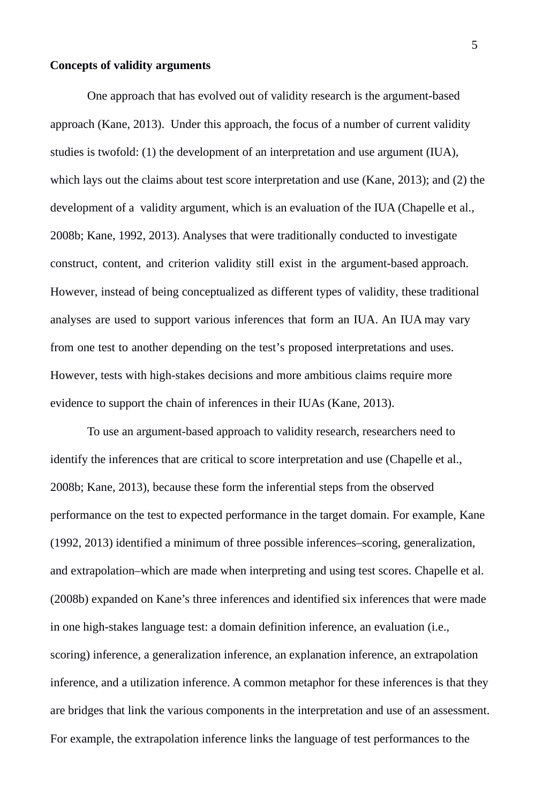## **Concepts of validity arguments**

One approach that has evolved out of validity research is the argument-based approach (Kane, 2013). Under this approach, the focus of a number of current validity studies is twofold: (1) the development of an interpretation and use argument (IUA), which lays out the claims about test score interpretation and use (Kane, 2013); and (2) the development of a validity argument, which is an evaluation of the IUA (Chapelle et al., 2008b; Kane, 1992, 2013). Analyses that were traditionally conducted to investigate construct, content, and criterion validity still exist in the argument-based approach. However, instead of being conceptualized as different types of validity, these traditional analyses are used to support various inferences that form an IUA. An IUA may vary from one test to another depending on the test's proposed interpretations and uses. However, tests with high-stakes decisions and more ambitious claims require more evidence to support the chain of inferences in their IUAs (Kane, 2013).

To use an argument-based approach to validity research, researchers need to identify the inferences that are critical to score interpretation and use (Chapelle et al., 2008b; Kane, 2013), because these form the inferential steps from the observed performance on the test to expected performance in the target domain. For example, Kane (1992, 2013) identified a minimum of three possible inferences–scoring, generalization, and extrapolation–which are made when interpreting and using test scores. Chapelle et al. (2008b) expanded on Kane's three inferences and identified six inferences that were made in one high-stakes language test: a domain definition inference, an evaluation (i.e., scoring) inference, a generalization inference, an explanation inference, an extrapolation inference, and a utilization inference. A common metaphor for these inferences is that they are bridges that link the various components in the interpretation and use of an assessment. For example, the extrapolation inference links the language of test performances to the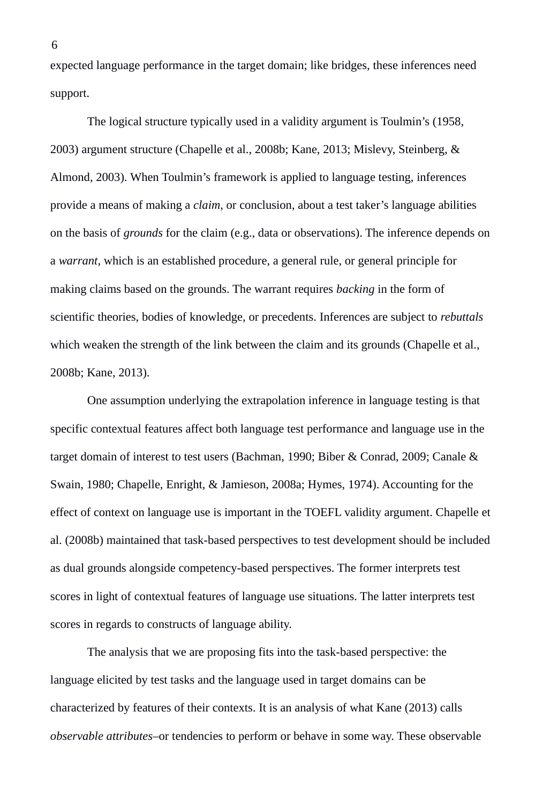expected language performance in the target domain; like bridges, these inferences need support.

The logical structure typically used in a validity argument is Toulmin's (1958, 2003) argument structure (Chapelle et al., 2008b; Kane, 2013; Mislevy, Steinberg, & Almond, 2003). When Toulmin's framework is applied to language testing, inferences provide a means of making a *claim*, or conclusion, about a test taker's language abilities on the basis of *grounds* for the claim (e.g., data or observations). The inference depends on a *warrant*, which is an established procedure, a general rule, or general principle for making claims based on the grounds. The warrant requires *backing* in the form of scientific theories, bodies of knowledge, or precedents. Inferences are subject to *rebuttals* which weaken the strength of the link between the claim and its grounds (Chapelle et al., 2008b; Kane, 2013).

One assumption underlying the extrapolation inference in language testing is that specific contextual features affect both language test performance and language use in the target domain of interest to test users (Bachman, 1990; Biber & Conrad, 2009; Canale & Swain, 1980; Chapelle, Enright, & Jamieson, 2008a; Hymes, 1974). Accounting for the effect of context on language use is important in the TOEFL validity argument. Chapelle et al. (2008b) maintained that task-based perspectives to test development should be included as dual grounds alongside competency-based perspectives. The former interprets test scores in light of contextual features of language use situations. The latter interprets test scores in regards to constructs of language ability.

The analysis that we are proposing fits into the task-based perspective: the language elicited by test tasks and the language used in target domains can be characterized by features of their contexts. It is an analysis of what Kane (2013) calls *observable attributes*–or tendencies to perform or behave in some way. These observable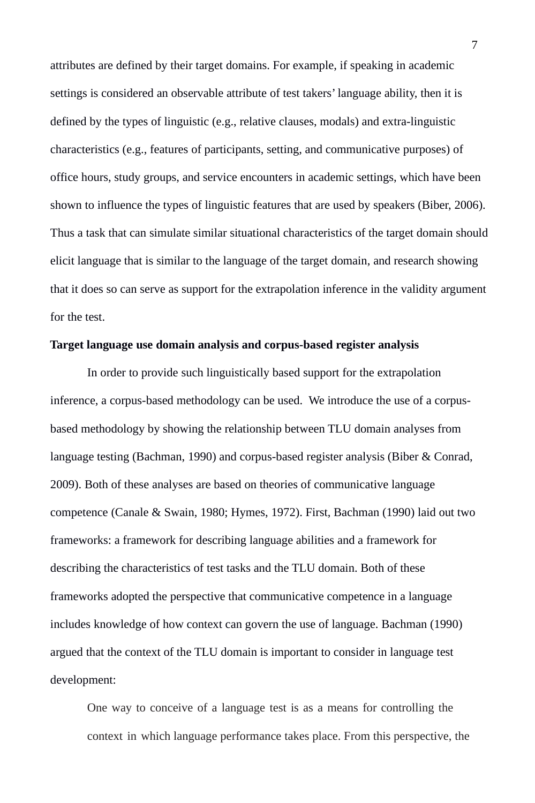attributes are defined by their target domains. For example, if speaking in academic settings is considered an observable attribute of test takers' language ability, then it is defined by the types of linguistic (e.g., relative clauses, modals) and extra-linguistic characteristics (e.g., features of participants, setting, and communicative purposes) of office hours, study groups, and service encounters in academic settings, which have been shown to influence the types of linguistic features that are used by speakers (Biber, 2006). Thus a task that can simulate similar situational characteristics of the target domain should elicit language that is similar to the language of the target domain, and research showing that it does so can serve as support for the extrapolation inference in the validity argument for the test.

## **Target language use domain analysis and corpus-based register analysis**

In order to provide such linguistically based support for the extrapolation inference, a corpus-based methodology can be used. We introduce the use of a corpusbased methodology by showing the relationship between TLU domain analyses from language testing (Bachman, 1990) and corpus-based register analysis (Biber & Conrad, 2009). Both of these analyses are based on theories of communicative language competence (Canale & Swain, 1980; Hymes, 1972). First, Bachman (1990) laid out two frameworks: a framework for describing language abilities and a framework for describing the characteristics of test tasks and the TLU domain. Both of these frameworks adopted the perspective that communicative competence in a language includes knowledge of how context can govern the use of language. Bachman (1990) argued that the context of the TLU domain is important to consider in language test development:

One way to conceive of a language test is as a means for controlling the context in which language performance takes place. From this perspective, the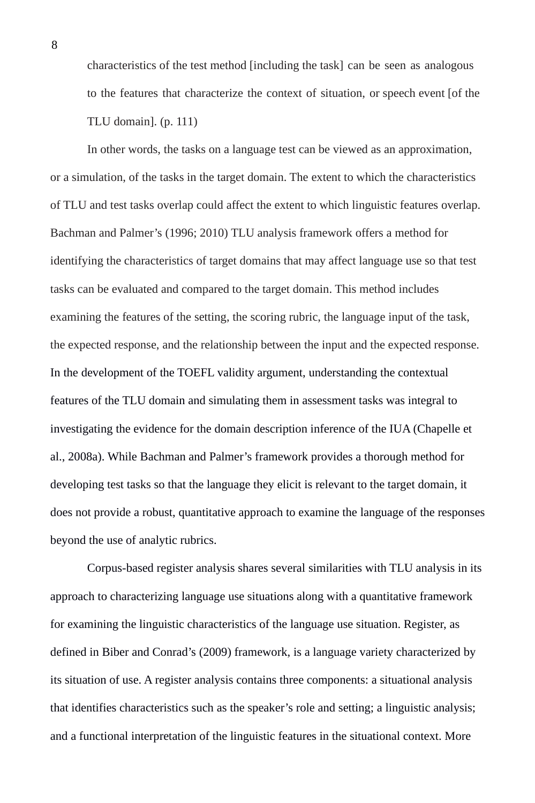characteristics of the test method [including the task] can be seen as analogous to the features that characterize the context of situation, or speech event [of the TLU domain]. (p. 111)

In other words, the tasks on a language test can be viewed as an approximation, or a simulation, of the tasks in the target domain. The extent to which the characteristics of TLU and test tasks overlap could affect the extent to which linguistic features overlap. Bachman and Palmer's (1996; 2010) TLU analysis framework offers a method for identifying the characteristics of target domains that may affect language use so that test tasks can be evaluated and compared to the target domain. This method includes examining the features of the setting, the scoring rubric, the language input of the task, the expected response, and the relationship between the input and the expected response. In the development of the TOEFL validity argument, understanding the contextual features of the TLU domain and simulating them in assessment tasks was integral to investigating the evidence for the domain description inference of the IUA (Chapelle et al., 2008a). While Bachman and Palmer's framework provides a thorough method for developing test tasks so that the language they elicit is relevant to the target domain, it does not provide a robust, quantitative approach to examine the language of the responses beyond the use of analytic rubrics.

Corpus-based register analysis shares several similarities with TLU analysis in its approach to characterizing language use situations along with a quantitative framework for examining the linguistic characteristics of the language use situation. Register, as defined in Biber and Conrad's (2009) framework, is a language variety characterized by its situation of use. A register analysis contains three components: a situational analysis that identifies characteristics such as the speaker's role and setting; a linguistic analysis; and a functional interpretation of the linguistic features in the situational context. More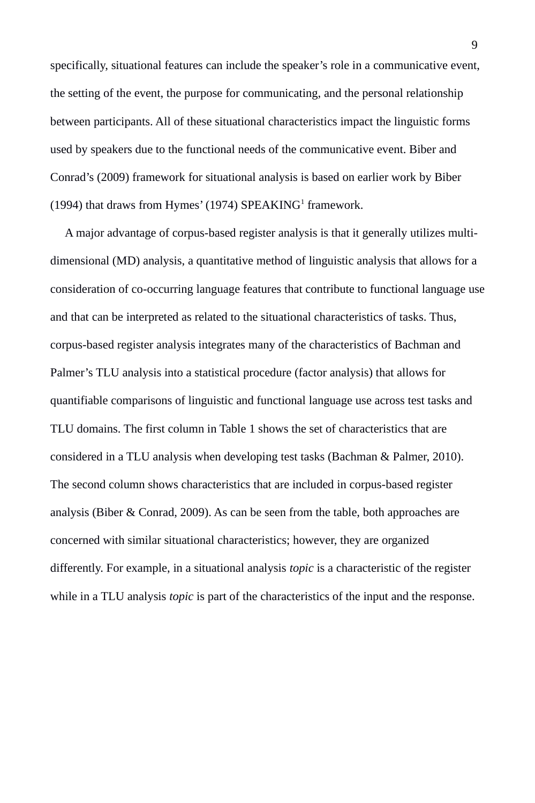specifically, situational features can include the speaker's role in a communicative event, the setting of the event, the purpose for communicating, and the personal relationship between participants. All of these situational characteristics impact the linguistic forms used by speakers due to the functional needs of the communicative event. Biber and Conrad's (2009) framework for situational analysis is based on earlier work by Biber (1994) that draws from Hymes' (1974) SPEAKING<sup>1</sup> framework.

A major advantage of corpus-based register analysis is that it generally utilizes multidimensional (MD) analysis, a quantitative method of linguistic analysis that allows for a consideration of co-occurring language features that contribute to functional language use and that can be interpreted as related to the situational characteristics of tasks. Thus, corpus-based register analysis integrates many of the characteristics of Bachman and Palmer's TLU analysis into a statistical procedure (factor analysis) that allows for quantifiable comparisons of linguistic and functional language use across test tasks and TLU domains. The first column in Table 1 shows the set of characteristics that are considered in a TLU analysis when developing test tasks (Bachman & Palmer, 2010). The second column shows characteristics that are included in corpus-based register analysis (Biber & Conrad, 2009). As can be seen from the table, both approaches are concerned with similar situational characteristics; however, they are organized differently. For example, in a situational analysis *topic* is a characteristic of the register while in a TLU analysis *topic* is part of the characteristics of the input and the response.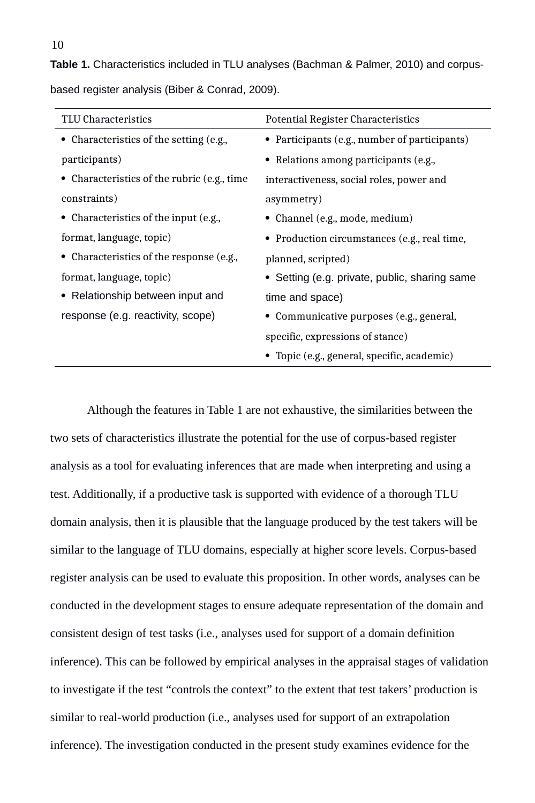**Table 1.** Characteristics included in TLU analyses (Bachman & Palmer, 2010) and corpusbased register analysis (Biber & Conrad, 2009).

| <b>TLU Characteristics</b>                  | Potential Register Characteristics            |
|---------------------------------------------|-----------------------------------------------|
| • Characteristics of the setting (e.g.,     | • Participants (e.g., number of participants) |
| participants)                               | • Relations among participants (e.g.,         |
| • Characteristics of the rubric (e.g., time | interactiveness, social roles, power and      |
| constraints)                                | asymmetry)                                    |
| • Characteristics of the input (e.g.,       | • Channel (e.g., mode, medium)                |
| format, language, topic)                    | • Production circumstances (e.g., real time,  |
| • Characteristics of the response (e.g.,    | planned, scripted)                            |
| format, language, topic)                    | • Setting (e.g. private, public, sharing same |
| • Relationship between input and            | time and space)                               |
| response (e.g. reactivity, scope)           | • Communicative purposes (e.g., general,      |
|                                             | specific, expressions of stance)              |
|                                             | • Topic (e.g., general, specific, academic)   |

Although the features in Table 1 are not exhaustive, the similarities between the two sets of characteristics illustrate the potential for the use of corpus-based register analysis as a tool for evaluating inferences that are made when interpreting and using a test. Additionally, if a productive task is supported with evidence of a thorough TLU domain analysis, then it is plausible that the language produced by the test takers will be similar to the language of TLU domains, especially at higher score levels. Corpus-based register analysis can be used to evaluate this proposition. In other words, analyses can be conducted in the development stages to ensure adequate representation of the domain and consistent design of test tasks (i.e., analyses used for support of a domain definition inference). This can be followed by empirical analyses in the appraisal stages of validation to investigate if the test "controls the context" to the extent that test takers' production is similar to real-world production (i.e., analyses used for support of an extrapolation inference). The investigation conducted in the present study examines evidence for the

10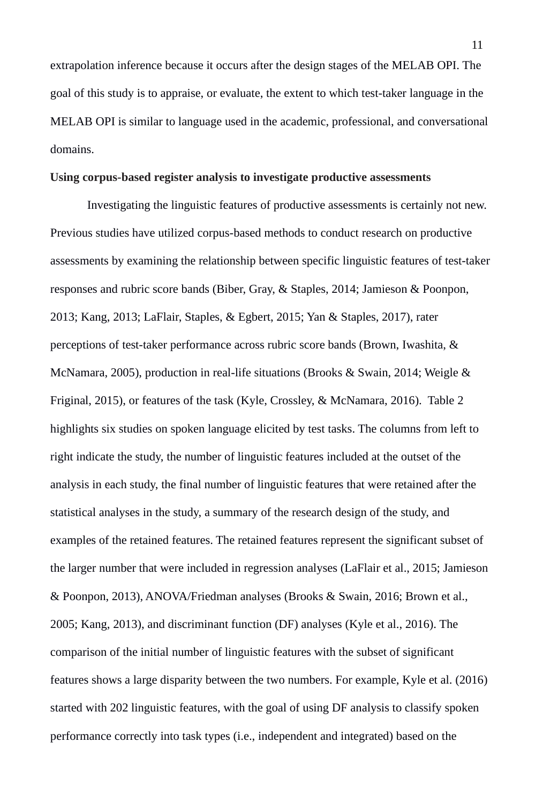extrapolation inference because it occurs after the design stages of the MELAB OPI. The goal of this study is to appraise, or evaluate, the extent to which test-taker language in the MELAB OPI is similar to language used in the academic, professional, and conversational domains.

#### **Using corpus-based register analysis to investigate productive assessments**

Investigating the linguistic features of productive assessments is certainly not new. Previous studies have utilized corpus-based methods to conduct research on productive assessments by examining the relationship between specific linguistic features of test-taker responses and rubric score bands (Biber, Gray, & Staples, 2014; Jamieson & Poonpon, 2013; Kang, 2013; LaFlair, Staples, & Egbert, 2015; Yan & Staples, 2017), rater perceptions of test-taker performance across rubric score bands (Brown, Iwashita, & McNamara, 2005), production in real-life situations (Brooks & Swain, 2014; Weigle & Friginal, 2015), or features of the task (Kyle, Crossley, & McNamara, 2016). Table 2 highlights six studies on spoken language elicited by test tasks. The columns from left to right indicate the study, the number of linguistic features included at the outset of the analysis in each study, the final number of linguistic features that were retained after the statistical analyses in the study, a summary of the research design of the study, and examples of the retained features. The retained features represent the significant subset of the larger number that were included in regression analyses (LaFlair et al., 2015; Jamieson & Poonpon, 2013), ANOVA/Friedman analyses (Brooks & Swain, 2016; Brown et al., 2005; Kang, 2013), and discriminant function (DF) analyses (Kyle et al., 2016). The comparison of the initial number of linguistic features with the subset of significant features shows a large disparity between the two numbers. For example, Kyle et al. (2016) started with 202 linguistic features, with the goal of using DF analysis to classify spoken performance correctly into task types (i.e., independent and integrated) based on the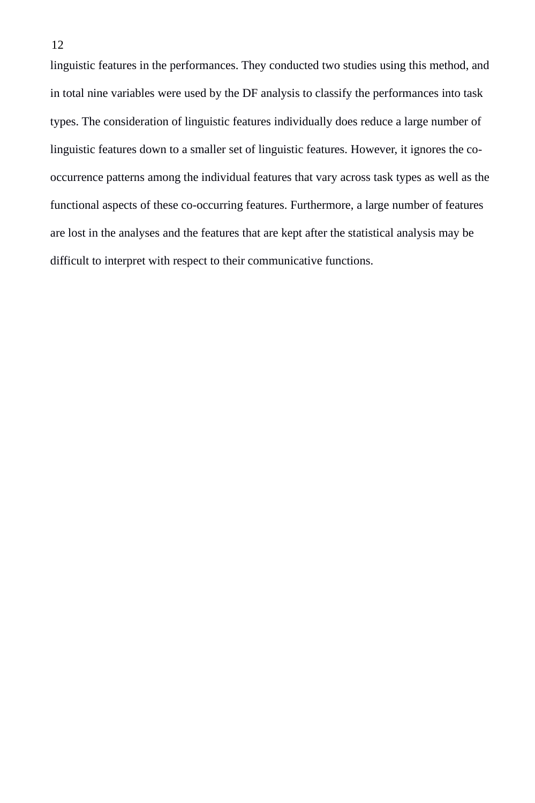linguistic features in the performances. They conducted two studies using this method, and in total nine variables were used by the DF analysis to classify the performances into task types. The consideration of linguistic features individually does reduce a large number of linguistic features down to a smaller set of linguistic features. However, it ignores the cooccurrence patterns among the individual features that vary across task types as well as the functional aspects of these co-occurring features. Furthermore, a large number of features are lost in the analyses and the features that are kept after the statistical analysis may be difficult to interpret with respect to their communicative functions.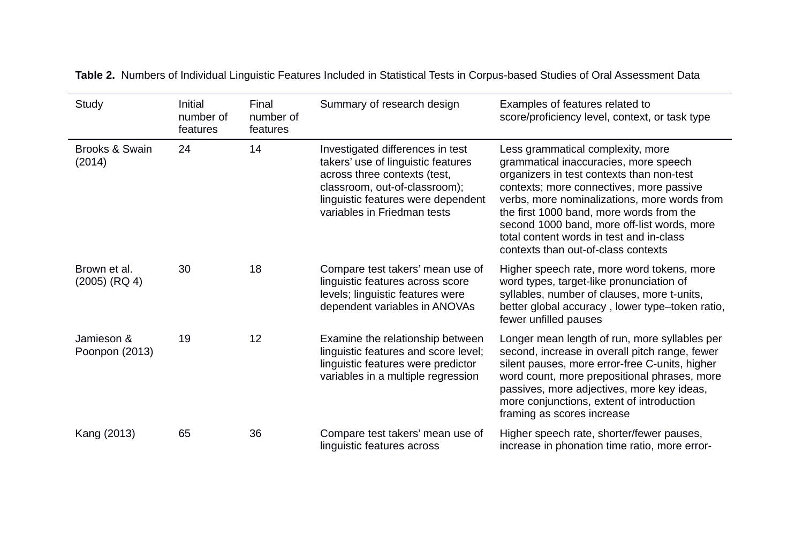| Study                               | Initial<br>number of<br>features | Final<br>number of<br>features | Summary of research design                                                                                                                                                                                   | Examples of features related to<br>score/proficiency level, context, or task type                                                                                                                                                                                                                                                                                                                 |
|-------------------------------------|----------------------------------|--------------------------------|--------------------------------------------------------------------------------------------------------------------------------------------------------------------------------------------------------------|---------------------------------------------------------------------------------------------------------------------------------------------------------------------------------------------------------------------------------------------------------------------------------------------------------------------------------------------------------------------------------------------------|
| <b>Brooks &amp; Swain</b><br>(2014) | 24                               | 14                             | Investigated differences in test<br>takers' use of linguistic features<br>across three contexts (test,<br>classroom, out-of-classroom);<br>linguistic features were dependent<br>variables in Friedman tests | Less grammatical complexity, more<br>grammatical inaccuracies, more speech<br>organizers in test contexts than non-test<br>contexts; more connectives, more passive<br>verbs, more nominalizations, more words from<br>the first 1000 band, more words from the<br>second 1000 band, more off-list words, more<br>total content words in test and in-class<br>contexts than out-of-class contexts |
| Brown et al.<br>$(2005)$ (RQ 4)     | 30                               | 18                             | Compare test takers' mean use of<br>linguistic features across score<br>levels; linguistic features were<br>dependent variables in ANOVAs                                                                    | Higher speech rate, more word tokens, more<br>word types, target-like pronunciation of<br>syllables, number of clauses, more t-units,<br>better global accuracy, lower type-token ratio,<br>fewer unfilled pauses                                                                                                                                                                                 |
| Jamieson &<br>Poonpon (2013)        | 19                               | 12                             | Examine the relationship between<br>linguistic features and score level;<br>linguistic features were predictor<br>variables in a multiple regression                                                         | Longer mean length of run, more syllables per<br>second, increase in overall pitch range, fewer<br>silent pauses, more error-free C-units, higher<br>word count, more prepositional phrases, more<br>passives, more adjectives, more key ideas,<br>more conjunctions, extent of introduction<br>framing as scores increase                                                                        |
| Kang (2013)                         | 65                               | 36                             | Compare test takers' mean use of<br>linguistic features across                                                                                                                                               | Higher speech rate, shorter/fewer pauses,<br>increase in phonation time ratio, more error-                                                                                                                                                                                                                                                                                                        |

**Table 2.** Numbers of Individual Linguistic Features Included in Statistical Tests in Corpus-based Studies of Oral Assessment Data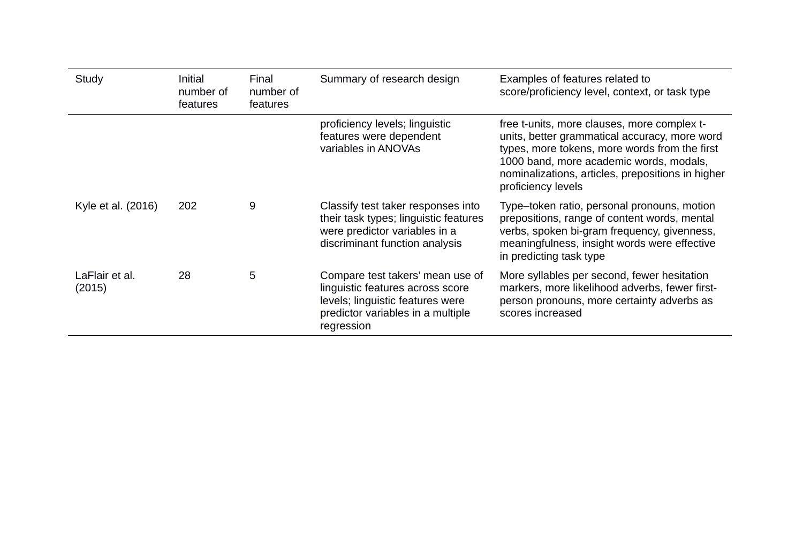| Study                    | Initial<br>number of<br>features | Final<br>number of<br>features | Summary of research design                                                                                                                                  | Examples of features related to<br>score/proficiency level, context, or task type                                                                                                                                                                                   |  |  |
|--------------------------|----------------------------------|--------------------------------|-------------------------------------------------------------------------------------------------------------------------------------------------------------|---------------------------------------------------------------------------------------------------------------------------------------------------------------------------------------------------------------------------------------------------------------------|--|--|
|                          |                                  |                                | proficiency levels; linguistic<br>features were dependent<br>variables in ANOVAs                                                                            | free t-units, more clauses, more complex t-<br>units, better grammatical accuracy, more word<br>types, more tokens, more words from the first<br>1000 band, more academic words, modals,<br>nominalizations, articles, prepositions in higher<br>proficiency levels |  |  |
| Kyle et al. (2016)       | 202                              | 9                              | Classify test taker responses into<br>their task types; linguistic features<br>were predictor variables in a<br>discriminant function analysis              | Type-token ratio, personal pronouns, motion<br>prepositions, range of content words, mental<br>verbs, spoken bi-gram frequency, givenness,<br>meaningfulness, insight words were effective<br>in predicting task type                                               |  |  |
| LaFlair et al.<br>(2015) | 28                               | 5                              | Compare test takers' mean use of<br>linguistic features across score<br>levels; linguistic features were<br>predictor variables in a multiple<br>regression | More syllables per second, fewer hesitation<br>markers, more likelihood adverbs, fewer first-<br>person pronouns, more certainty adverbs as<br>scores increased                                                                                                     |  |  |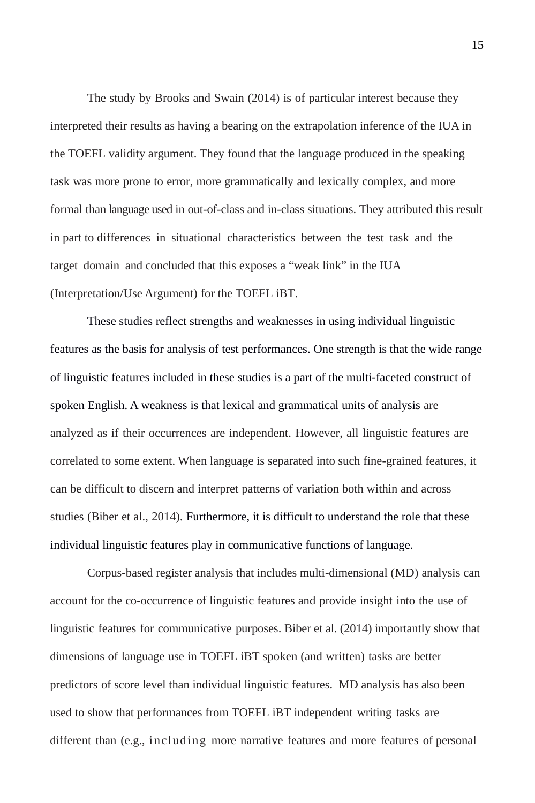The study by Brooks and Swain (2014) is of particular interest because they interpreted their results as having a bearing on the extrapolation inference of the IUA in the TOEFL validity argument. They found that the language produced in the speaking task was more prone to error, more grammatically and lexically complex, and more formal than language used in out-of-class and in-class situations. They attributed this result in part to differences in situational characteristics between the test task and the target domain and concluded that this exposes a "weak link" in the IUA (Interpretation/Use Argument) for the TOEFL iBT.

These studies reflect strengths and weaknesses in using individual linguistic features as the basis for analysis of test performances. One strength is that the wide range of linguistic features included in these studies is a part of the multi-faceted construct of spoken English. A weakness is that lexical and grammatical units of analysis are analyzed as if their occurrences are independent. However, all linguistic features are correlated to some extent. When language is separated into such fine-grained features, it can be difficult to discern and interpret patterns of variation both within and across studies (Biber et al., 2014). Furthermore, it is difficult to understand the role that these individual linguistic features play in communicative functions of language.

Corpus-based register analysis that includes multi-dimensional (MD) analysis can account for the co-occurrence of linguistic features and provide insight into the use of linguistic features for communicative purposes. Biber et al. (2014) importantly show that dimensions of language use in TOEFL iBT spoken (and written) tasks are better predictors of score level than individual linguistic features. MD analysis has also been used to show that performances from TOEFL iBT independent writing tasks are different than (e.g., including more narrative features and more features of personal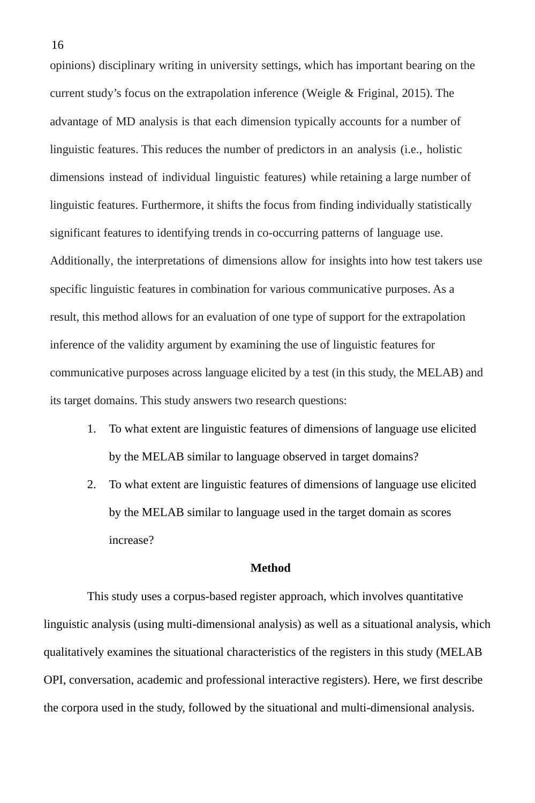opinions) disciplinary writing in university settings, which has important bearing on the current study's focus on the extrapolation inference (Weigle & Friginal, 2015). The advantage of MD analysis is that each dimension typically accounts for a number of linguistic features. This reduces the number of predictors in an analysis (i.e., holistic dimensions instead of individual linguistic features) while retaining a large number of linguistic features. Furthermore, it shifts the focus from finding individually statistically significant features to identifying trends in co-occurring patterns of language use. Additionally, the interpretations of dimensions allow for insights into how test takers use specific linguistic features in combination for various communicative purposes. As a result, this method allows for an evaluation of one type of support for the extrapolation inference of the validity argument by examining the use of linguistic features for communicative purposes across language elicited by a test (in this study, the MELAB) and its target domains. This study answers two research questions:

- 1. To what extent are linguistic features of dimensions of language use elicited by the MELAB similar to language observed in target domains?
- 2. To what extent are linguistic features of dimensions of language use elicited by the MELAB similar to language used in the target domain as scores increase?

#### **Method**

This study uses a corpus-based register approach, which involves quantitative linguistic analysis (using multi-dimensional analysis) as well as a situational analysis, which qualitatively examines the situational characteristics of the registers in this study (MELAB OPI, conversation, academic and professional interactive registers). Here, we first describe the corpora used in the study, followed by the situational and multi-dimensional analysis.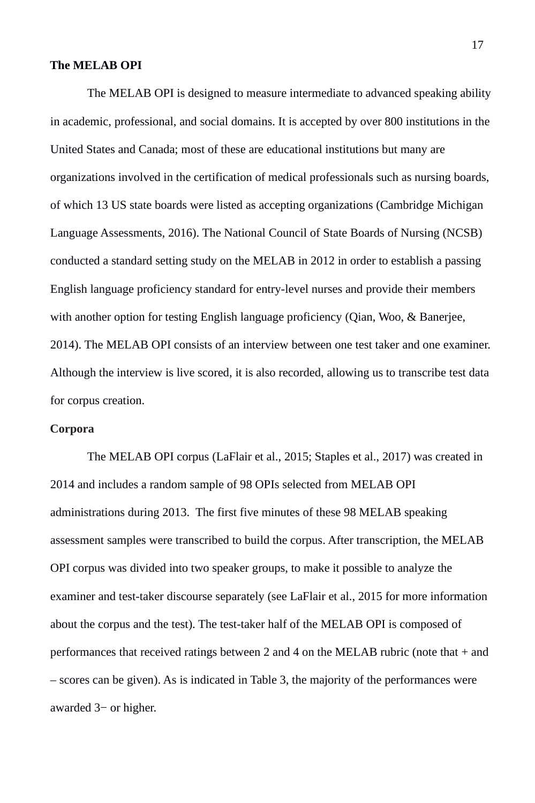## **The MELAB OPI**

The MELAB OPI is designed to measure intermediate to advanced speaking ability in academic, professional, and social domains. It is accepted by over 800 institutions in the United States and Canada; most of these are educational institutions but many are organizations involved in the certification of medical professionals such as nursing boards, of which 13 US state boards were listed as accepting organizations (Cambridge Michigan Language Assessments, 2016). The National Council of State Boards of Nursing (NCSB) conducted a standard setting study on the MELAB in 2012 in order to establish a passing English language proficiency standard for entry-level nurses and provide their members with another option for testing English language proficiency (Qian, Woo, & Banerjee, 2014). The MELAB OPI consists of an interview between one test taker and one examiner. Although the interview is live scored, it is also recorded, allowing us to transcribe test data for corpus creation.

# **Corpora**

The MELAB OPI corpus (LaFlair et al., 2015; Staples et al., 2017) was created in 2014 and includes a random sample of 98 OPIs selected from MELAB OPI administrations during 2013. The first five minutes of these 98 MELAB speaking assessment samples were transcribed to build the corpus. After transcription, the MELAB OPI corpus was divided into two speaker groups, to make it possible to analyze the examiner and test-taker discourse separately (see LaFlair et al., 2015 for more information about the corpus and the test). The test-taker half of the MELAB OPI is composed of performances that received ratings between 2 and 4 on the MELAB rubric (note that + and – scores can be given). As is indicated in Table 3, the majority of the performances were awarded 3− or higher.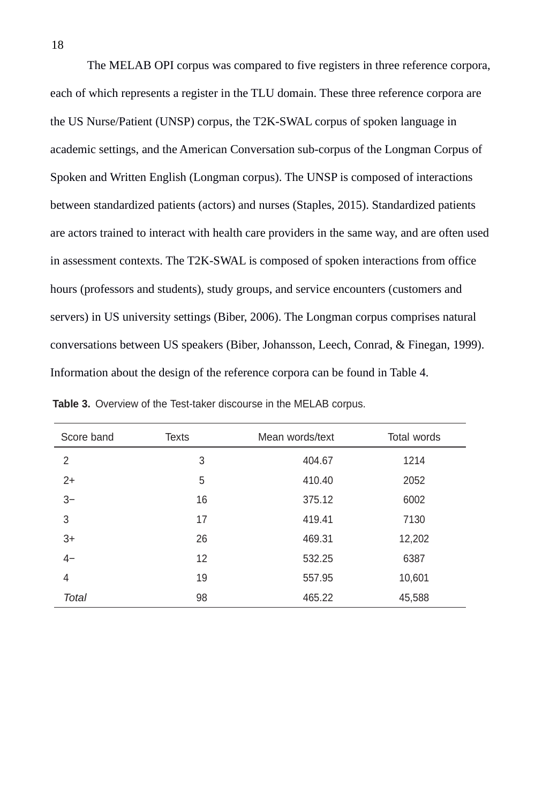The MELAB OPI corpus was compared to five registers in three reference corpora, each of which represents a register in the TLU domain. These three reference corpora are the US Nurse/Patient (UNSP) corpus, the T2K-SWAL corpus of spoken language in academic settings, and the American Conversation sub-corpus of the Longman Corpus of Spoken and Written English (Longman corpus). The UNSP is composed of interactions between standardized patients (actors) and nurses (Staples, 2015). Standardized patients are actors trained to interact with health care providers in the same way, and are often used in assessment contexts. The T2K-SWAL is composed of spoken interactions from office hours (professors and students), study groups, and service encounters (customers and servers) in US university settings (Biber, 2006). The Longman corpus comprises natural conversations between US speakers (Biber, Johansson, Leech, Conrad, & Finegan, 1999). Information about the design of the reference corpora can be found in Table 4.

| Score band     | <b>Texts</b> | Mean words/text | Total words |
|----------------|--------------|-----------------|-------------|
| $\overline{2}$ | 3            | 404.67          | 1214        |
| $2+$           | 5            | 410.40          | 2052        |
| $3-$           | 16           | 375.12          | 6002        |
| 3              | 17           | 419.41          | 7130        |
| $3+$           | 26           | 469.31          | 12,202      |
| $4-$           | 12           | 532.25          | 6387        |
| 4              | 19           | 557.95          | 10,601      |
| Total          | 98           | 465.22          | 45,588      |

**Table 3.** Overview of the Test-taker discourse in the MELAB corpus.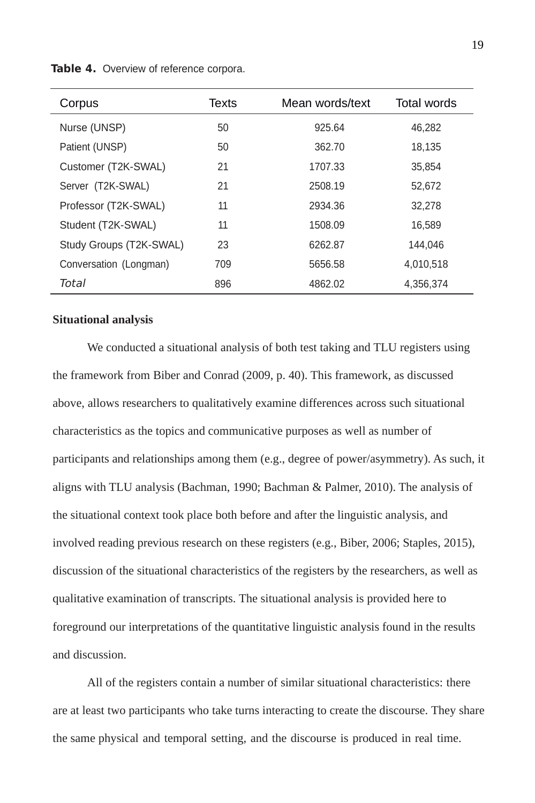| Corpus                  | Texts | Mean words/text | Total words |
|-------------------------|-------|-----------------|-------------|
| Nurse (UNSP)            | 50    | 925.64          | 46.282      |
| Patient (UNSP)          | 50    | 362.70          | 18,135      |
| Customer (T2K-SWAL)     | 21    | 1707.33         | 35,854      |
| Server (T2K-SWAL)       | 21    | 2508.19         | 52.672      |
| Professor (T2K-SWAL)    | 11    | 2934.36         | 32,278      |
| Student (T2K-SWAL)      | 11    | 1508.09         | 16,589      |
| Study Groups (T2K-SWAL) | 23    | 6262.87         | 144.046     |
| Conversation (Longman)  | 709   | 5656.58         | 4,010,518   |
| Total                   | 896   | 4862.02         | 4,356,374   |

 **Table 4.** Overview of reference corpora.

## **Situational analysis**

We conducted a situational analysis of both test taking and TLU registers using the framework from Biber and Conrad (2009, p. 40). This framework, as discussed above, allows researchers to qualitatively examine differences across such situational characteristics as the topics and communicative purposes as well as number of participants and relationships among them (e.g., degree of power/asymmetry). As such, it aligns with TLU analysis (Bachman, 1990; Bachman & Palmer, 2010). The analysis of the situational context took place both before and after the linguistic analysis, and involved reading previous research on these registers (e.g., Biber, 2006; Staples, 2015), discussion of the situational characteristics of the registers by the researchers, as well as qualitative examination of transcripts. The situational analysis is provided here to foreground our interpretations of the quantitative linguistic analysis found in the results and discussion.

All of the registers contain a number of similar situational characteristics: there are at least two participants who take turns interacting to create the discourse. They share the same physical and temporal setting, and the discourse is produced in real time.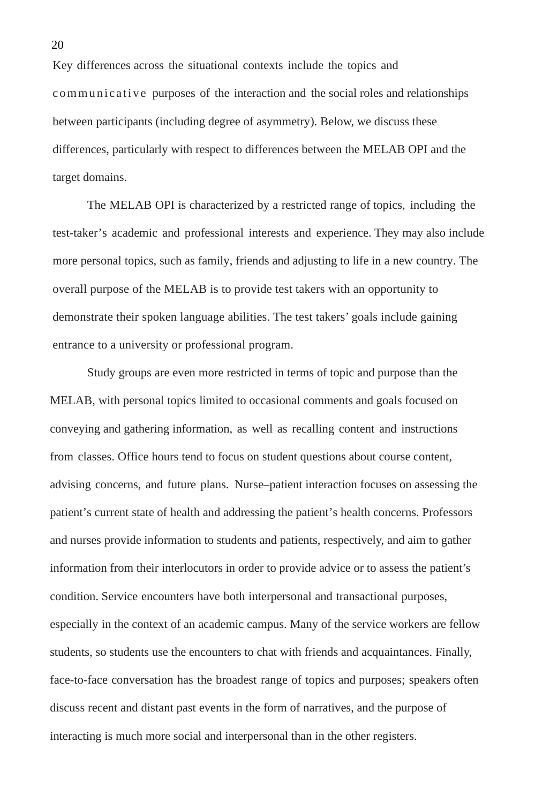Key differences across the situational contexts include the topics and communicative purposes of the interaction and the social roles and relationships between participants (including degree of asymmetry). Below, we discuss these differences, particularly with respect to differences between the MELAB OPI and the target domains.

The MELAB OPI is characterized by a restricted range of topics, including the test-taker's academic and professional interests and experience. They may also include more personal topics, such as family, friends and adjusting to life in a new country. The overall purpose of the MELAB is to provide test takers with an opportunity to demonstrate their spoken language abilities. The test takers' goals include gaining entrance to a university or professional program.

Study groups are even more restricted in terms of topic and purpose than the MELAB, with personal topics limited to occasional comments and goals focused on conveying and gathering information, as well as recalling content and instructions from classes. Office hours tend to focus on student questions about course content, advising concerns, and future plans. Nurse–patient interaction focuses on assessing the patient's current state of health and addressing the patient's health concerns. Professors and nurses provide information to students and patients, respectively, and aim to gather information from their interlocutors in order to provide advice or to assess the patient's condition. Service encounters have both interpersonal and transactional purposes, especially in the context of an academic campus. Many of the service workers are fellow students, so students use the encounters to chat with friends and acquaintances. Finally, face-to-face conversation has the broadest range of topics and purposes; speakers often discuss recent and distant past events in the form of narratives, and the purpose of interacting is much more social and interpersonal than in the other registers.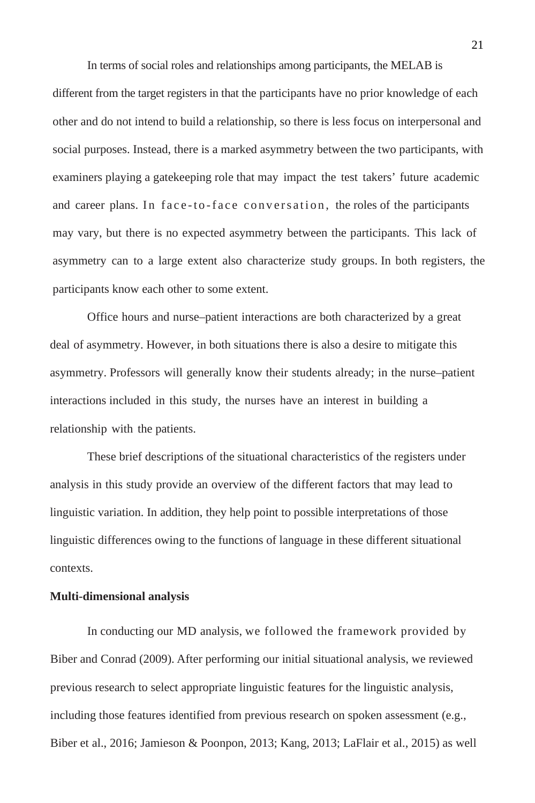In terms of social roles and relationships among participants, the MELAB is different from the target registers in that the participants have no prior knowledge of each other and do not intend to build a relationship, so there is less focus on interpersonal and social purposes. Instead, there is a marked asymmetry between the two participants, with examiners playing a gatekeeping role that may impact the test takers' future academic and career plans. In face-to-face conversation, the roles of the participants may vary, but there is no expected asymmetry between the participants. This lack of asymmetry can to a large extent also characterize study groups. In both registers, the participants know each other to some extent.

Office hours and nurse–patient interactions are both characterized by a great deal of asymmetry. However, in both situations there is also a desire to mitigate this asymmetry. Professors will generally know their students already; in the nurse–patient interactions included in this study, the nurses have an interest in building a relationship with the patients.

These brief descriptions of the situational characteristics of the registers under analysis in this study provide an overview of the different factors that may lead to linguistic variation. In addition, they help point to possible interpretations of those linguistic differences owing to the functions of language in these different situational contexts.

# **Multi-dimensional analysis**

In conducting our MD analysis, we followed the framework provided by Biber and Conrad (2009). After performing our initial situational analysis, we reviewed previous research to select appropriate linguistic features for the linguistic analysis, including those features identified from previous research on spoken assessment (e.g., Biber et al., 2016; Jamieson & Poonpon, 2013; Kang, 2013; LaFlair et al., 2015) as well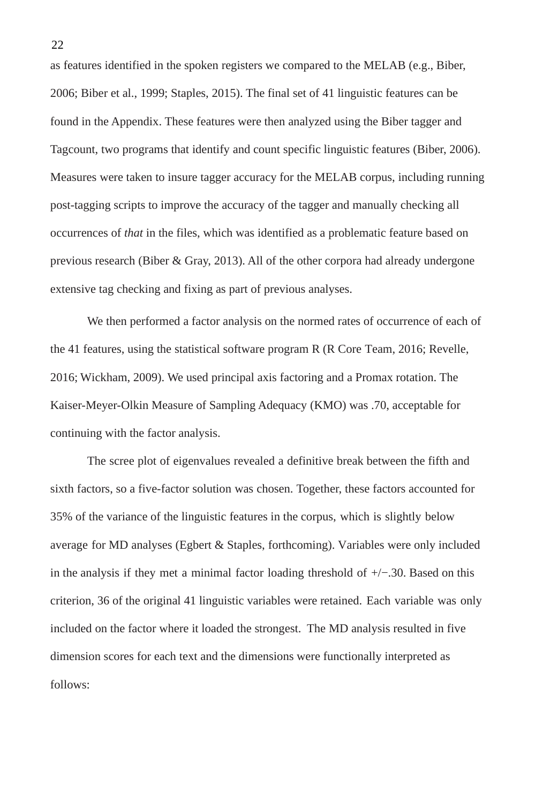as features identified in the spoken registers we compared to the MELAB (e.g., Biber, 2006; Biber et al., 1999; Staples, 2015). The final set of 41 linguistic features can be found in the Appendix. These features were then analyzed using the Biber tagger and Tagcount, two programs that identify and count specific linguistic features (Biber, 2006). Measures were taken to insure tagger accuracy for the MELAB corpus, including running post-tagging scripts to improve the accuracy of the tagger and manually checking all occurrences of *that* in the files, which was identified as a problematic feature based on previous research (Biber & Gray, 2013). All of the other corpora had already undergone extensive tag checking and fixing as part of previous analyses.

We then performed a factor analysis on the normed rates of occurrence of each of the 41 features, using the statistical software program R (R Core Team, 2016; Revelle, 2016; Wickham, 2009). We used principal axis factoring and a Promax rotation. The Kaiser-Meyer-Olkin Measure of Sampling Adequacy (KMO) was .70, acceptable for continuing with the factor analysis.

The scree plot of eigenvalues revealed a definitive break between the fifth and sixth factors, so a five-factor solution was chosen. Together, these factors accounted for 35% of the variance of the linguistic features in the corpus, which is slightly below average for MD analyses (Egbert & Staples, forthcoming). Variables were only included in the analysis if they met a minimal factor loading threshold of +/−.30. Based on this criterion, 36 of the original 41 linguistic variables were retained. Each variable was only included on the factor where it loaded the strongest. The MD analysis resulted in five dimension scores for each text and the dimensions were functionally interpreted as follows: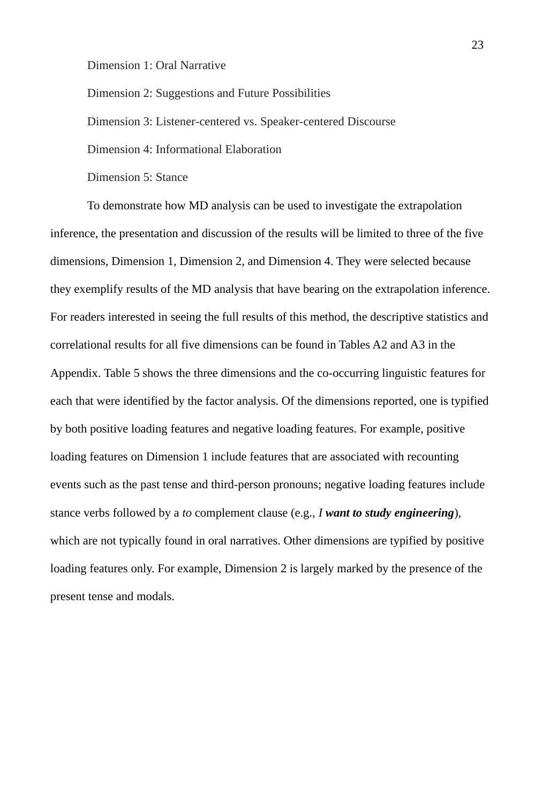Dimension 1: Oral Narrative

Dimension 2: Suggestions and Future Possibilities

Dimension 3: Listener-centered vs. Speaker-centered Discourse

Dimension 4: Informational Elaboration

Dimension 5: Stance

To demonstrate how MD analysis can be used to investigate the extrapolation inference, the presentation and discussion of the results will be limited to three of the five dimensions, Dimension 1, Dimension 2, and Dimension 4. They were selected because they exemplify results of the MD analysis that have bearing on the extrapolation inference. For readers interested in seeing the full results of this method, the descriptive statistics and correlational results for all five dimensions can be found in Tables A2 and A3 in the Appendix. Table 5 shows the three dimensions and the co-occurring linguistic features for each that were identified by the factor analysis. Of the dimensions reported, one is typified by both positive loading features and negative loading features. For example, positive loading features on Dimension 1 include features that are associated with recounting events such as the past tense and third-person pronouns; negative loading features include stance verbs followed by a *to* complement clause (e.g., *I want to study engineering*), which are not typically found in oral narratives. Other dimensions are typified by positive loading features only. For example, Dimension 2 is largely marked by the presence of the present tense and modals.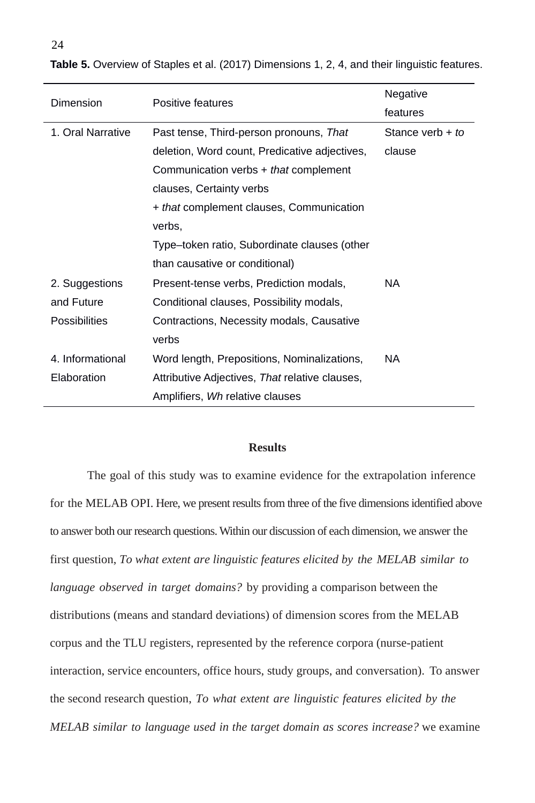| Dimension            | Positive features                              | Negative<br>features |
|----------------------|------------------------------------------------|----------------------|
| 1. Oral Narrative    | Past tense, Third-person pronouns, That        | Stance verb $+$ to   |
|                      | deletion, Word count, Predicative adjectives,  | clause               |
|                      | Communication verbs + that complement          |                      |
|                      | clauses, Certainty verbs                       |                      |
|                      | + that complement clauses, Communication       |                      |
|                      | verbs.                                         |                      |
|                      | Type–token ratio, Subordinate clauses (other   |                      |
|                      | than causative or conditional)                 |                      |
| 2. Suggestions       | Present-tense verbs, Prediction modals,        | NA.                  |
| and Future           | Conditional clauses, Possibility modals,       |                      |
| <b>Possibilities</b> | Contractions, Necessity modals, Causative      |                      |
|                      | verbs                                          |                      |
| 4. Informational     | Word length, Prepositions, Nominalizations,    | NA.                  |
| Elaboration          | Attributive Adjectives, That relative clauses, |                      |
|                      | Amplifiers, Wh relative clauses                |                      |

**Table 5.** Overview of Staples et al. (2017) Dimensions 1, 2, 4, and their linguistic features.

#### **Results**

The goal of this study was to examine evidence for the extrapolation inference for the MELAB OPI. Here, we present results from three of the five dimensions identified above to answer both our research questions. Within our discussion of each dimension, we answer the first question, *To what extent are linguistic features elicited by the MELAB similar to language observed in target domains?* by providing a comparison between the distributions (means and standard deviations) of dimension scores from the MELAB corpus and the TLU registers, represented by the reference corpora (nurse-patient interaction, service encounters, office hours, study groups, and conversation). To answer the second research question, *To what extent are linguistic features elicited by the MELAB similar to language used in the target domain as scores increase?* we examine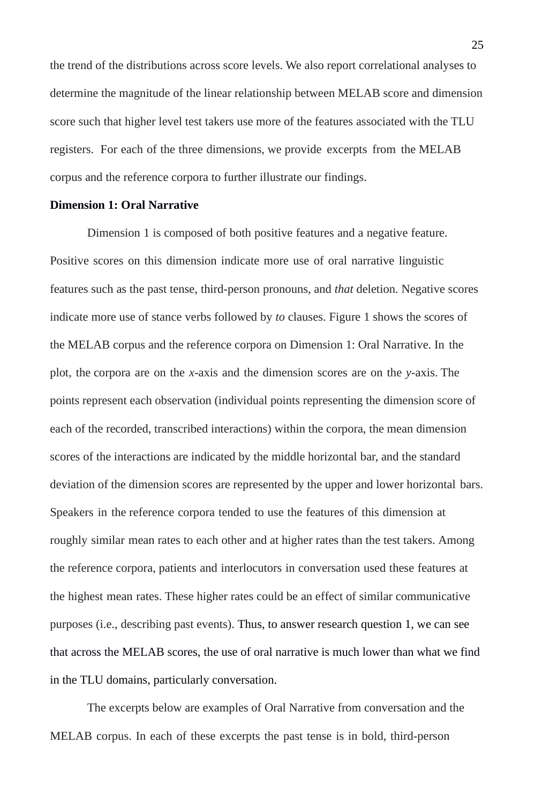the trend of the distributions across score levels. We also report correlational analyses to determine the magnitude of the linear relationship between MELAB score and dimension score such that higher level test takers use more of the features associated with the TLU registers. For each of the three dimensions, we provide excerpts from the MELAB corpus and the reference corpora to further illustrate our findings.

# **Dimension 1: Oral Narrative**

Dimension 1 is composed of both positive features and a negative feature. Positive scores on this dimension indicate more use of oral narrative linguistic features such as the past tense, third-person pronouns, and *that* deletion. Negative scores indicate more use of stance verbs followed by *to* clauses. Figure 1 shows the scores of the MELAB corpus and the reference corpora on Dimension 1: Oral Narrative. In the plot, the corpora are on the *x*-axis and the dimension scores are on the *y*-axis. The points represent each observation (individual points representing the dimension score of each of the recorded, transcribed interactions) within the corpora, the mean dimension scores of the interactions are indicated by the middle horizontal bar, and the standard deviation of the dimension scores are represented by the upper and lower horizontal bars. Speakers in the reference corpora tended to use the features of this dimension at roughly similar mean rates to each other and at higher rates than the test takers. Among the reference corpora, patients and interlocutors in conversation used these features at the highest mean rates. These higher rates could be an effect of similar communicative purposes (i.e., describing past events). Thus, to answer research question 1, we can see that across the MELAB scores, the use of oral narrative is much lower than what we find in the TLU domains, particularly conversation.

The excerpts below are examples of Oral Narrative from conversation and the MELAB corpus. In each of these excerpts the past tense is in bold, third-person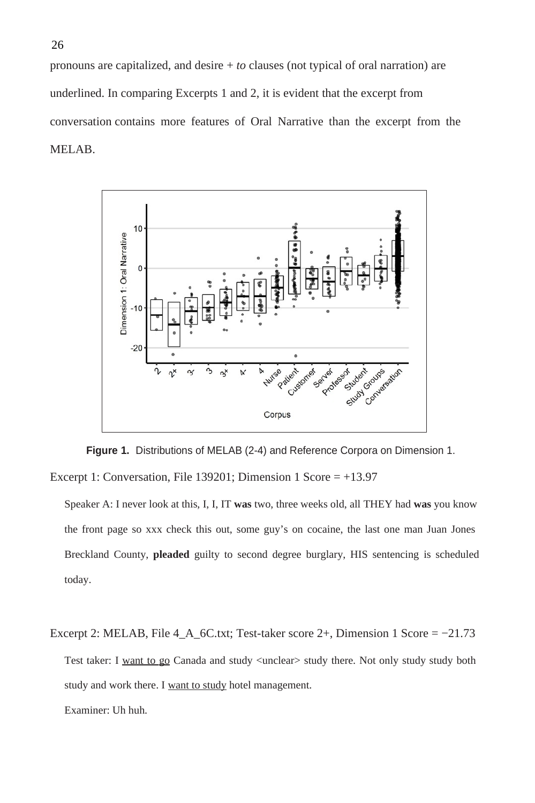pronouns are capitalized, and desire + *to* clauses (not typical of oral narration) are underlined. In comparing Excerpts 1 and 2, it is evident that the excerpt from conversation contains more features of Oral Narrative than the excerpt from the MELAB.



**Figure 1.** Distributions of MELAB (2-4) and Reference Corpora on Dimension 1.

Excerpt 1: Conversation, File 139201; Dimension 1 Score = +13.97

Speaker A: I never look at this, I, I, IT **was** two, three weeks old, all THEY had **was** you know the front page so xxx check this out, some guy's on cocaine, the last one man Juan Jones Breckland County, **pleaded** guilty to second degree burglary, HIS sentencing is scheduled today.

Excerpt 2: MELAB, File 4\_A\_6C.txt; Test-taker score 2+, Dimension 1 Score = −21.73 Test taker: I want to go Canada and study <unclear> study there. Not only study study both study and work there. I want to study hotel management.

Examiner: Uh huh.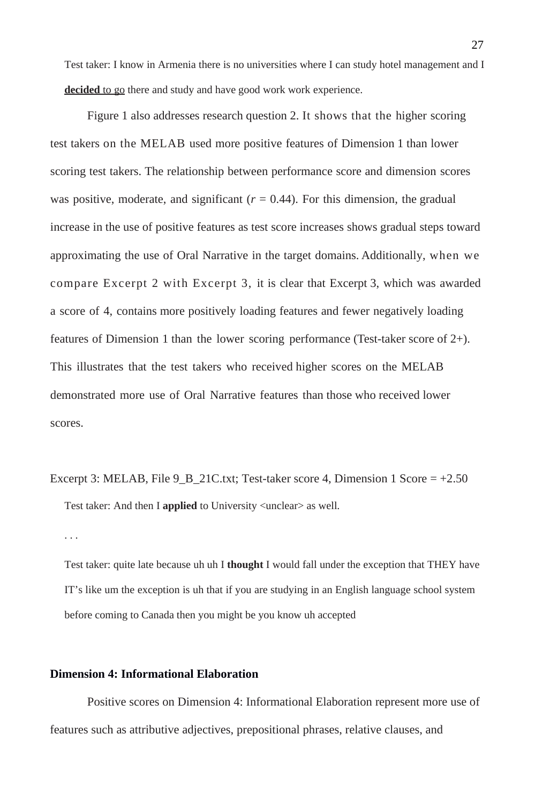Test taker: I know in Armenia there is no universities where I can study hotel management and I  **decided** to go there and study and have good work work experience.

Figure 1 also addresses research question 2. It shows that the higher scoring test takers on the MELAB used more positive features of Dimension 1 than lower scoring test takers. The relationship between performance score and dimension scores was positive, moderate, and significant  $(r = 0.44)$ . For this dimension, the gradual increase in the use of positive features as test score increases shows gradual steps toward approximating the use of Oral Narrative in the target domains. Additionally, when we compare Excerpt 2 with Excerpt 3, it is clear that Excerpt 3, which was awarded a score of 4, contains more positively loading features and fewer negatively loading features of Dimension 1 than the lower scoring performance (Test-taker score of 2+). This illustrates that the test takers who received higher scores on the MELAB demonstrated more use of Oral Narrative features than those who received lower scores.

Excerpt 3: MELAB, File  $9\_B\_21$ C.txt; Test-taker score 4, Dimension 1 Score = +2.50 Test taker: And then I **applied** to University <unclear> as well.

. . .

Test taker: quite late because uh uh I **thought** I would fall under the exception that THEY have IT's like um the exception is uh that if you are studying in an English language school system before coming to Canada then you might be you know uh accepted

# **Dimension 4: Informational Elaboration**

Positive scores on Dimension 4: Informational Elaboration represent more use of features such as attributive adjectives, prepositional phrases, relative clauses, and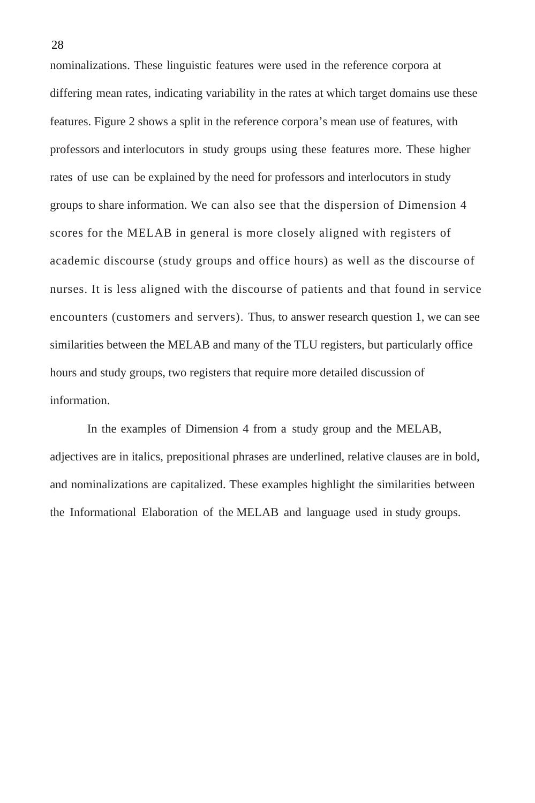nominalizations. These linguistic features were used in the reference corpora at differing mean rates, indicating variability in the rates at which target domains use these features. Figure 2 shows a split in the reference corpora's mean use of features, with professors and interlocutors in study groups using these features more. These higher rates of use can be explained by the need for professors and interlocutors in study groups to share information. We can also see that the dispersion of Dimension 4 scores for the MELAB in general is more closely aligned with registers of academic discourse (study groups and office hours) as well as the discourse of nurses. It is less aligned with the discourse of patients and that found in service encounters (customers and servers). Thus, to answer research question 1, we can see similarities between the MELAB and many of the TLU registers, but particularly office hours and study groups, two registers that require more detailed discussion of information.

In the examples of Dimension 4 from a study group and the MELAB, adjectives are in italics, prepositional phrases are underlined, relative clauses are in bold, and nominalizations are capitalized. These examples highlight the similarities between the Informational Elaboration of the MELAB and language used in study groups.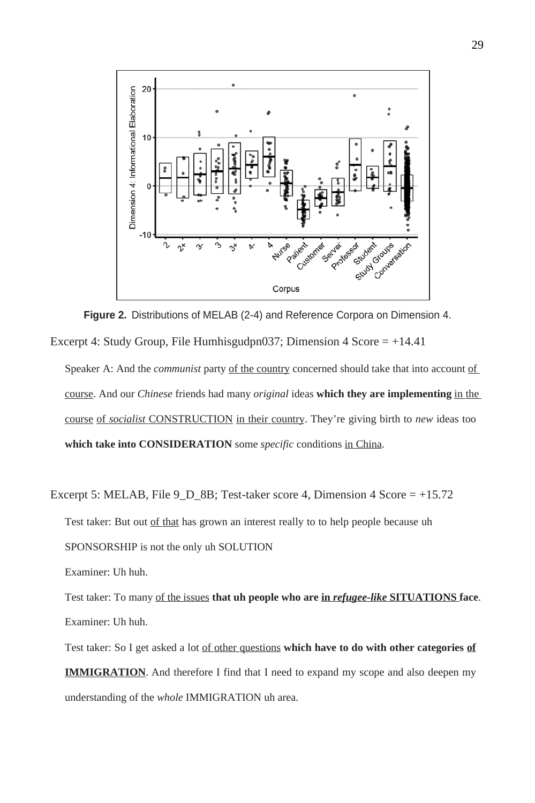

**Figure 2.** Distributions of MELAB (2-4) and Reference Corpora on Dimension 4.

Excerpt 4: Study Group, File Humhisgudpn037; Dimension 4 Score = +14.41

Speaker A: And the *communist* party of the country concerned should take that into account of course. And our *Chinese* friends had many *original* ideas **which they are implementing** in the course of *socialist* CONSTRUCTION in their country. They're giving birth to *new* ideas too **which take into CONSIDERATION** some *specific* conditions in China.

Excerpt 5: MELAB, File 9\_D\_8B; Test-taker score 4, Dimension 4 Score = +15.72 Test taker: But out of that has grown an interest really to to help people because uh SPONSORSHIP is not the only uh SOLUTION Examiner: Uh huh. Test taker: To many of the issues **that uh people who are in** *refugee-like* **SITU A TIONS face**.

Examiner: Uh huh.

Test taker: So I get asked a lot of other questions **which have to do with other categories of IMMIGRATION**. And therefore I find that I need to expand my scope and also deepen my understanding of the *whole* IMMIGRATION uh area.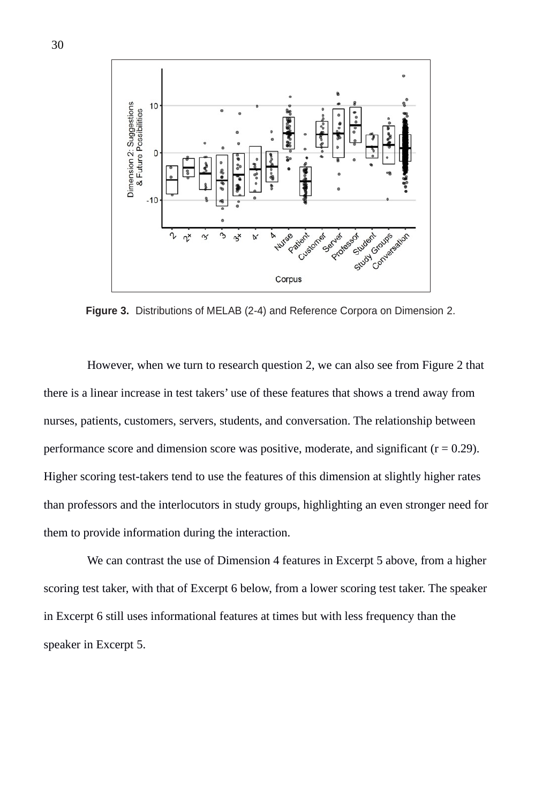

**Figure 3.** Distributions of MELAB (2-4) and Reference Corpora on Dimension 2.

However, when we turn to research question 2, we can also see from Figure 2 that there is a linear increase in test takers' use of these features that shows a trend away from nurses, patients, customers, servers, students, and conversation. The relationship between performance score and dimension score was positive, moderate, and significant  $(r = 0.29)$ . Higher scoring test-takers tend to use the features of this dimension at slightly higher rates than professors and the interlocutors in study groups, highlighting an even stronger need for them to provide information during the interaction.

We can contrast the use of Dimension 4 features in Excerpt 5 above, from a higher scoring test taker, with that of Excerpt 6 below, from a lower scoring test taker. The speaker in Excerpt 6 still uses informational features at times but with less frequency than the speaker in Excerpt 5.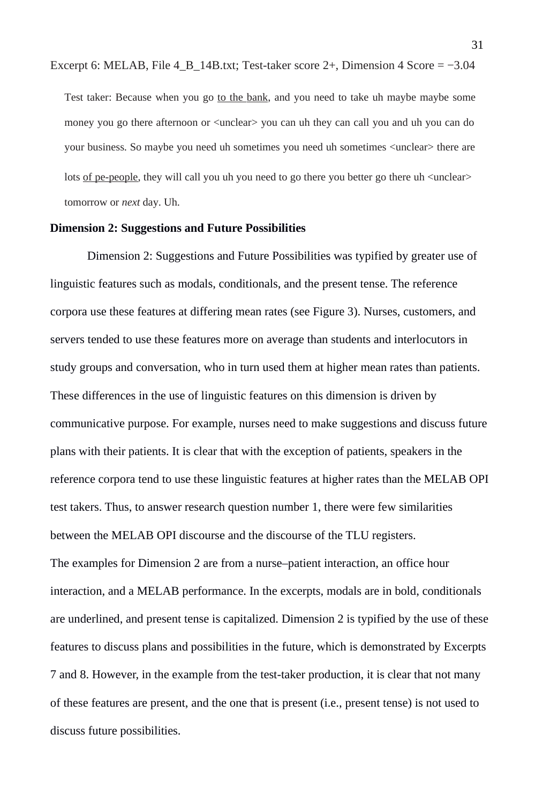Excerpt 6: MELAB, File 4\_B\_14B.txt; Test-taker score 2+, Dimension 4 Score = −3.04 Test taker: Because when you go to the bank, and you need to take uh maybe maybe some money you go there afternoon or <unclear> you can uh they can call you and uh you can do your business. So maybe you need uh sometimes you need uh sometimes <unclear> there are lots of pe-people, they will call you uh you need to go there you better go there uh  $\leq$ unclear $\geq$ tomorrow or *next* day. Uh.

#### **Dimension 2: Suggestions and Future Possibilities**

Dimension 2: Suggestions and Future Possibilities was typified by greater use of linguistic features such as modals, conditionals, and the present tense. The reference corpora use these features at differing mean rates (see Figure 3). Nurses, customers, and servers tended to use these features more on average than students and interlocutors in study groups and conversation, who in turn used them at higher mean rates than patients. These differences in the use of linguistic features on this dimension is driven by communicative purpose. For example, nurses need to make suggestions and discuss future plans with their patients. It is clear that with the exception of patients, speakers in the reference corpora tend to use these linguistic features at higher rates than the MELAB OPI test takers. Thus, to answer research question number 1, there were few similarities between the MELAB OPI discourse and the discourse of the TLU registers. The examples for Dimension 2 are from a nurse–patient interaction, an office hour interaction, and a MELAB performance. In the excerpts, modals are in bold, conditionals are underlined, and present tense is capitalized. Dimension 2 is typified by the use of these features to discuss plans and possibilities in the future, which is demonstrated by Excerpts 7 and 8. However, in the example from the test-taker production, it is clear that not many of these features are present, and the one that is present (i.e., present tense) is not used to discuss future possibilities.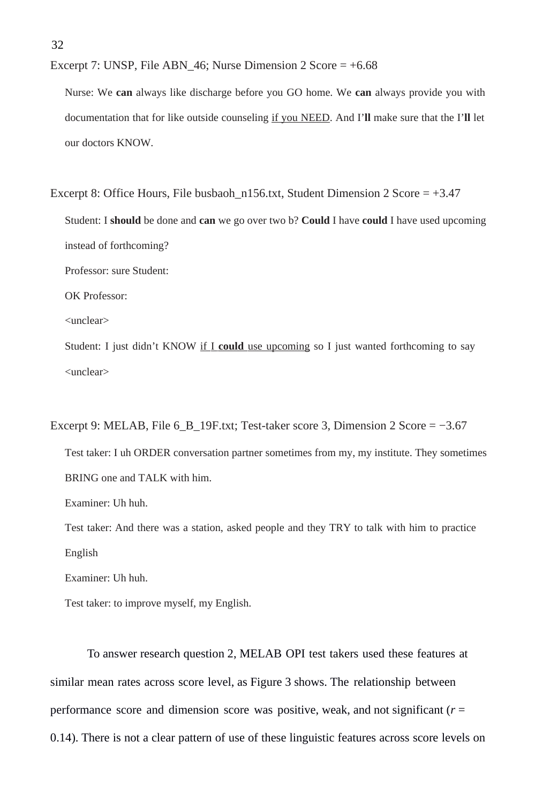Excerpt 7: UNSP, File ABN\_46; Nurse Dimension 2 Score = +6.68 Nurse: We **can** always like discharge before you GO home. We **can** always provide you with documentation that for like outside counseling if you NEED. And I'**ll** make sure that the I'**ll** let our doctors KNOW.

Excerpt 8: Office Hours, File busbaoh\_n156.txt, Student Dimension 2 Score = +3.47 Student: I **should** be done and **can** we go over two b? **Could** I have **could** I have used upcoming instead of forthcoming? Professor: sure Student: OK Professor: <unclear> Student: I just didn't KNOW if I **could** use upcoming so I just wanted forthcoming to say <unclear>

Excerpt 9: MELAB, File 6\_B\_19F.txt; Test-taker score 3, Dimension 2 Score = −3.67 Test taker: I uh ORDER conversation partner sometimes from my, my institute. They sometimes BRING one and TALK with him.

Examiner: Uh huh.

Test taker: And there was a station, asked people and they TRY to talk with him to practice English

Examiner: Uh huh.

Test taker: to improve myself, my English.

To answer research question 2, MELAB OPI test takers used these features at similar mean rates across score level, as Figure 3 shows. The relationship between performance score and dimension score was positive, weak, and not significant (*r* = 0.14). There is not a clear pattern of use of these linguistic features across score levels on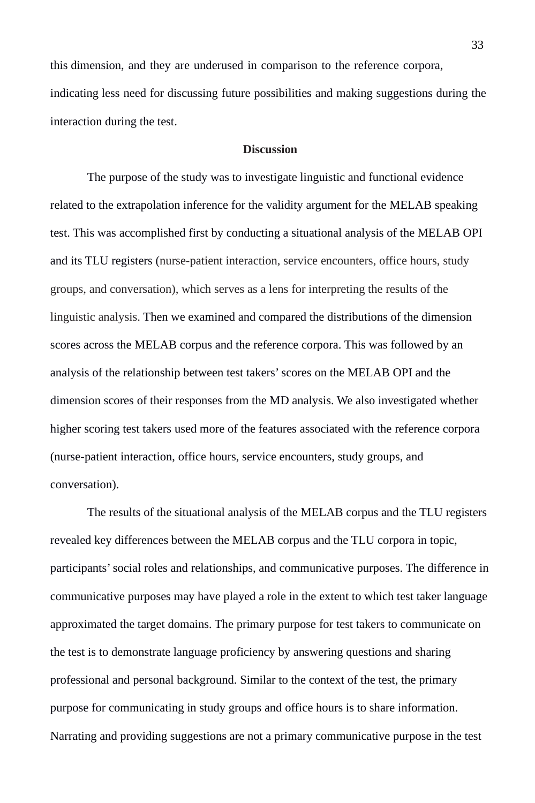this dimension, and they are underused in comparison to the reference corpora, indicating less need for discussing future possibilities and making suggestions during the interaction during the test.

# **Discussion**

The purpose of the study was to investigate linguistic and functional evidence related to the extrapolation inference for the validity argument for the MELAB speaking test. This was accomplished first by conducting a situational analysis of the MELAB OPI and its TLU registers (nurse-patient interaction, service encounters, office hours, study groups, and conversation), which serves as a lens for interpreting the results of the linguistic analysis. Then we examined and compared the distributions of the dimension scores across the MELAB corpus and the reference corpora. This was followed by an analysis of the relationship between test takers' scores on the MELAB OPI and the dimension scores of their responses from the MD analysis. We also investigated whether higher scoring test takers used more of the features associated with the reference corpora (nurse-patient interaction, office hours, service encounters, study groups, and conversation).

The results of the situational analysis of the MELAB corpus and the TLU registers revealed key differences between the MELAB corpus and the TLU corpora in topic, participants' social roles and relationships, and communicative purposes. The difference in communicative purposes may have played a role in the extent to which test taker language approximated the target domains. The primary purpose for test takers to communicate on the test is to demonstrate language proficiency by answering questions and sharing professional and personal background. Similar to the context of the test, the primary purpose for communicating in study groups and office hours is to share information. Narrating and providing suggestions are not a primary communicative purpose in the test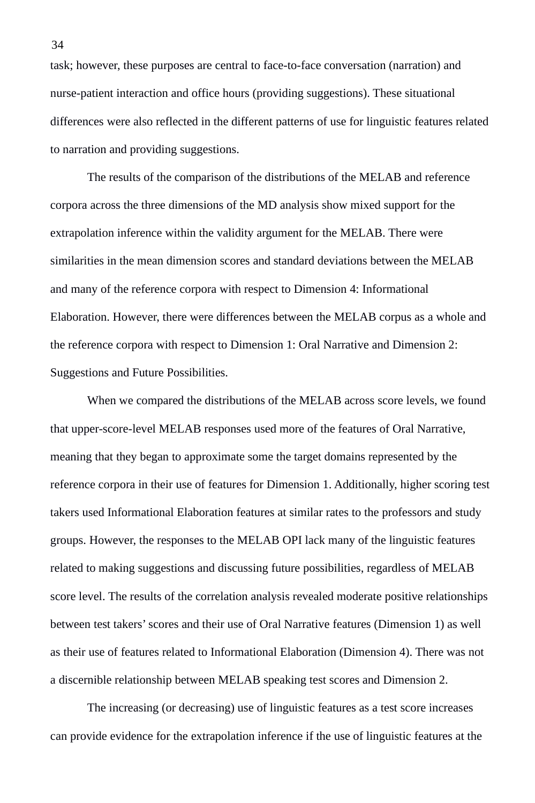task; however, these purposes are central to face-to-face conversation (narration) and nurse-patient interaction and office hours (providing suggestions). These situational differences were also reflected in the different patterns of use for linguistic features related to narration and providing suggestions.

The results of the comparison of the distributions of the MELAB and reference corpora across the three dimensions of the MD analysis show mixed support for the extrapolation inference within the validity argument for the MELAB. There were similarities in the mean dimension scores and standard deviations between the MELAB and many of the reference corpora with respect to Dimension 4: Informational Elaboration. However, there were differences between the MELAB corpus as a whole and the reference corpora with respect to Dimension 1: Oral Narrative and Dimension 2: Suggestions and Future Possibilities.

When we compared the distributions of the MELAB across score levels, we found that upper-score-level MELAB responses used more of the features of Oral Narrative, meaning that they began to approximate some the target domains represented by the reference corpora in their use of features for Dimension 1. Additionally, higher scoring test takers used Informational Elaboration features at similar rates to the professors and study groups. However, the responses to the MELAB OPI lack many of the linguistic features related to making suggestions and discussing future possibilities, regardless of MELAB score level. The results of the correlation analysis revealed moderate positive relationships between test takers' scores and their use of Oral Narrative features (Dimension 1) as well as their use of features related to Informational Elaboration (Dimension 4). There was not a discernible relationship between MELAB speaking test scores and Dimension 2.

The increasing (or decreasing) use of linguistic features as a test score increases can provide evidence for the extrapolation inference if the use of linguistic features at the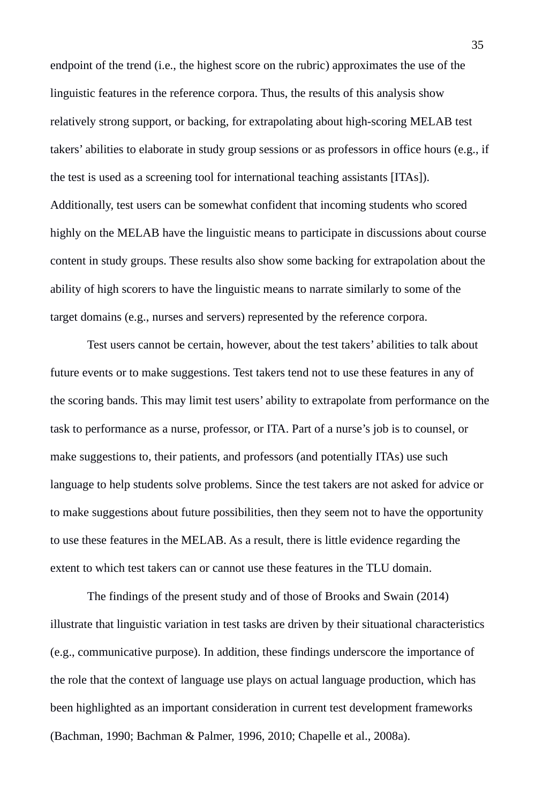endpoint of the trend (i.e., the highest score on the rubric) approximates the use of the linguistic features in the reference corpora. Thus, the results of this analysis show relatively strong support, or backing, for extrapolating about high-scoring MELAB test takers' abilities to elaborate in study group sessions or as professors in office hours (e.g., if the test is used as a screening tool for international teaching assistants [ITAs]). Additionally, test users can be somewhat confident that incoming students who scored highly on the MELAB have the linguistic means to participate in discussions about course content in study groups. These results also show some backing for extrapolation about the ability of high scorers to have the linguistic means to narrate similarly to some of the target domains (e.g., nurses and servers) represented by the reference corpora.

Test users cannot be certain, however, about the test takers' abilities to talk about future events or to make suggestions. Test takers tend not to use these features in any of the scoring bands. This may limit test users' ability to extrapolate from performance on the task to performance as a nurse, professor, or ITA. Part of a nurse's job is to counsel, or make suggestions to, their patients, and professors (and potentially ITAs) use such language to help students solve problems. Since the test takers are not asked for advice or to make suggestions about future possibilities, then they seem not to have the opportunity to use these features in the MELAB. As a result, there is little evidence regarding the extent to which test takers can or cannot use these features in the TLU domain.

The findings of the present study and of those of Brooks and Swain (2014) illustrate that linguistic variation in test tasks are driven by their situational characteristics (e.g., communicative purpose). In addition, these findings underscore the importance of the role that the context of language use plays on actual language production, which has been highlighted as an important consideration in current test development frameworks (Bachman, 1990; Bachman & Palmer, 1996, 2010; Chapelle et al., 2008a).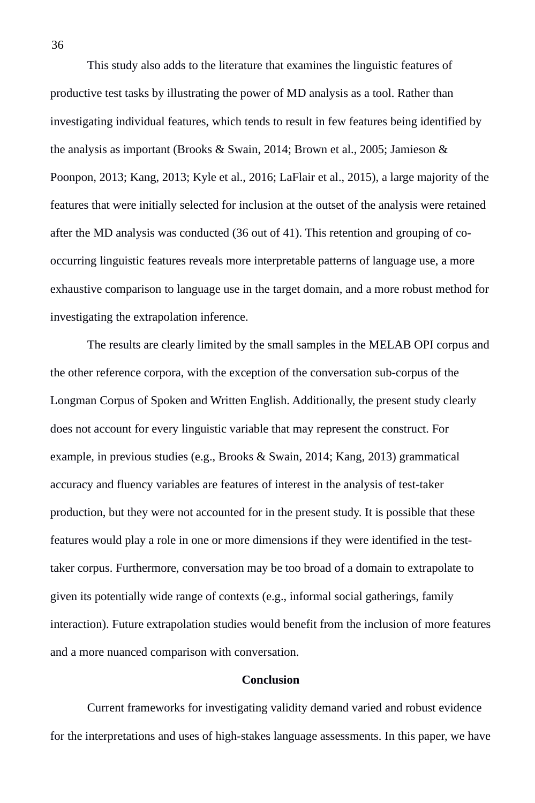This study also adds to the literature that examines the linguistic features of productive test tasks by illustrating the power of MD analysis as a tool. Rather than investigating individual features, which tends to result in few features being identified by the analysis as important (Brooks & Swain, 2014; Brown et al., 2005; Jamieson & Poonpon, 2013; Kang, 2013; Kyle et al., 2016; LaFlair et al., 2015), a large majority of the features that were initially selected for inclusion at the outset of the analysis were retained after the MD analysis was conducted (36 out of 41). This retention and grouping of cooccurring linguistic features reveals more interpretable patterns of language use, a more exhaustive comparison to language use in the target domain, and a more robust method for investigating the extrapolation inference.

The results are clearly limited by the small samples in the MELAB OPI corpus and the other reference corpora, with the exception of the conversation sub-corpus of the Longman Corpus of Spoken and Written English. Additionally, the present study clearly does not account for every linguistic variable that may represent the construct. For example, in previous studies (e.g., Brooks & Swain, 2014; Kang, 2013) grammatical accuracy and fluency variables are features of interest in the analysis of test-taker production, but they were not accounted for in the present study. It is possible that these features would play a role in one or more dimensions if they were identified in the testtaker corpus. Furthermore, conversation may be too broad of a domain to extrapolate to given its potentially wide range of contexts (e.g., informal social gatherings, family interaction). Future extrapolation studies would benefit from the inclusion of more features and a more nuanced comparison with conversation.

# **Conclusion**

Current frameworks for investigating validity demand varied and robust evidence for the interpretations and uses of high-stakes language assessments. In this paper, we have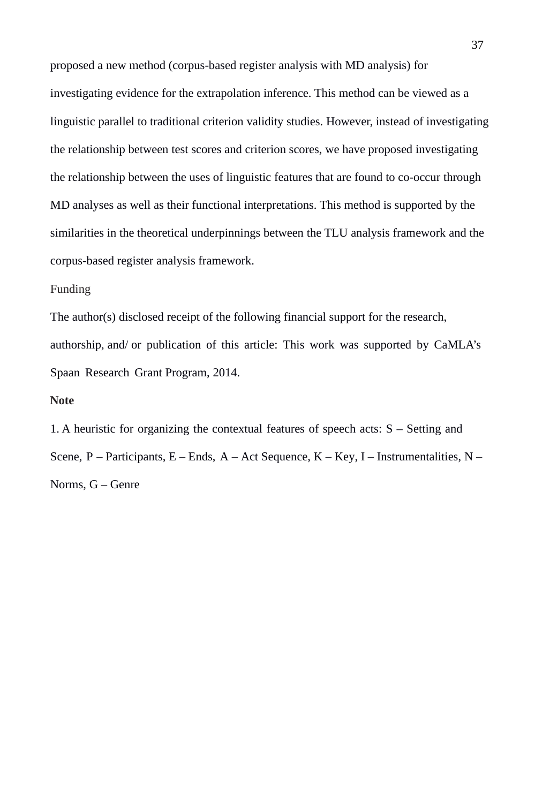proposed a new method (corpus-based register analysis with MD analysis) for investigating evidence for the extrapolation inference. This method can be viewed as a linguistic parallel to traditional criterion validity studies. However, instead of investigating the relationship between test scores and criterion scores, we have proposed investigating the relationship between the uses of linguistic features that are found to co-occur through MD analyses as well as their functional interpretations. This method is supported by the similarities in the theoretical underpinnings between the TLU analysis framework and the corpus-based register analysis framework.

## Funding

The author(s) disclosed receipt of the following financial support for the research, authorship, and/ or publication of this article: This work was supported by CaMLA's Spaan Research Grant Program, 2014.

## **Note**

1. A heuristic for organizing the contextual features of speech acts: S – Setting and Scene, P – Participants, E – Ends, A – Act Sequence, K – Key, I – Instrumentalities, N – Norms, G – Genre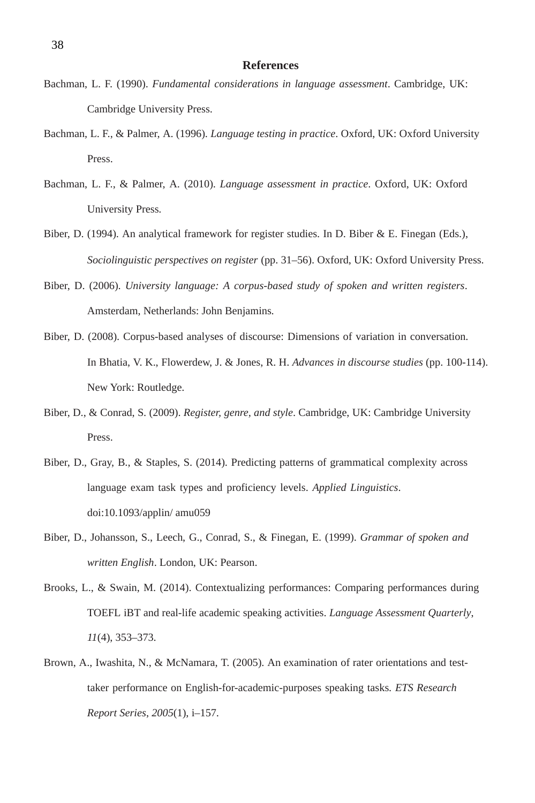#### **References**

- Bachman, L. F. (1990). *Fundamental considerations in language assessment*. Cambridge, UK: Cambridge University Press.
- Bachman, L. F., & Palmer, A. (1996). *Language testing in practice*. Oxford, UK: Oxford University Press.
- Bachman, L. F., & Palmer, A. (2010). *Language assessment in practice*. Oxford, UK: Oxford University Press.
- Biber, D. (1994). An analytical framework for register studies. In D. Biber & E. Finegan (Eds.), *Sociolinguistic perspectives on register* (pp. 31–56). Oxford, UK: Oxford University Press.
- Biber, D. (2006). *University language: A corpus-based study of spoken and written registers*. Amsterdam, Netherlands: John Benjamins.
- Biber, D. (2008). Corpus-based analyses of discourse: Dimensions of variation in conversation. In Bhatia, V. K., Flowerdew, J. & Jones, R. H. *Advances in discourse studies* (pp. 100-114). New York: Routledge.
- Biber, D., & Conrad, S. (2009). *Register, genre, and style*. Cambridge, UK: Cambridge University Press.
- Biber, D., Gray, B., & Staples, S. (2014). Predicting patterns of grammatical complexity across language exam task types and proficiency levels. *Applied Linguistics*. doi:10.1093/applin/ amu059
- Biber, D., Johansson, S., Leech, G., Conrad, S., & Finegan, E. (1999). *Grammar of spoken and written English*. London, UK: Pearson.
- Brooks, L., & Swain, M. (2014). Contextualizing performances: Comparing performances during TOEFL iBT and real-life academic speaking activities. *Language Assessment Quarterly*, *11*(4), 353–373.
- Brown, A., Iwashita, N., & McNamara, T. (2005). An examination of rater orientations and testtaker performance on English-for-academic-purposes speaking tasks. *ETS Research Report Series*, *2005*(1), i–157.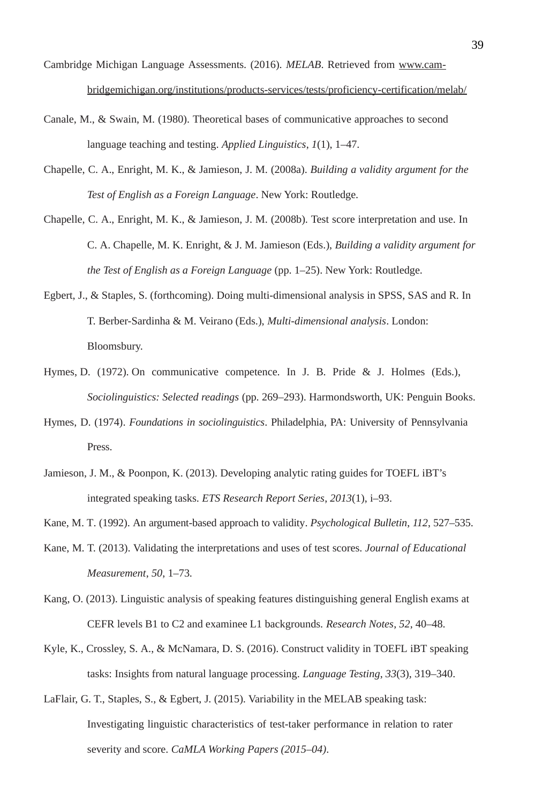- Cambridge Michigan Language Assessments. (2016). *MELAB*. Retrieved from [www.cam](http://www.cambridgemichigan.org/institutions/products-services/tests/proficiency-certification/melab/)[bridgemichigan.org/institutions/products-services/tests/proficiency-certification/melab/](http://www.cambridgemichigan.org/institutions/products-services/tests/proficiency-certification/melab/)
- Canale, M., & Swain, M. (1980). Theoretical bases of communicative approaches to second language teaching and testing. *Applied Linguistics*, *1*(1), 1–47.
- Chapelle, C. A., Enright, M. K., & Jamieson, J. M. (2008a). *Building a validity argument for the Test of English as a Foreign Language*. New York: Routledge.
- Chapelle, C. A., Enright, M. K., & Jamieson, J. M. (2008b). Test score interpretation and use. In C. A. Chapelle, M. K. Enright, & J. M. Jamieson (Eds.), *Building a validity argument for the Test of English as a Foreign Language* (pp. 1–25). New York: Routledge.
- Egbert, J., & Staples, S. (forthcoming). Doing multi-dimensional analysis in SPSS, SAS and R. In T. Berber-Sardinha & M. Veirano (Eds.), *Multi-dimensional analysis*. London: Bloomsbury.
- Hymes, D. (1972). On communicative competence. In J. B. Pride & J. Holmes (Eds.), *Sociolinguistics: Selected readings* (pp. 269–293). Harmondsworth, UK: Penguin Books.
- Hymes, D. (1974). *Foundations in sociolinguistics*. Philadelphia, PA: University of Pennsylvania Press.
- Jamieson, J. M., & Poonpon, K. (2013). Developing analytic rating guides for TOEFL iBT's integrated speaking tasks. *ETS Research Report Series*, *2013*(1), i–93.
- Kane, M. T. (1992). An argument-based approach to validity. *Psychological Bulletin*, *112*, 527–535.
- Kane, M. T. (2013). Validating the interpretations and uses of test scores. *Journal of Educational Measurement*, *50*, 1–73.
- Kang, O. (2013). Linguistic analysis of speaking features distinguishing general English exams at CEFR levels B1 to C2 and examinee L1 backgrounds. *Research Notes*, *52*, 40–48.
- Kyle, K., Crossley, S. A., & McNamara, D. S. (2016). Construct validity in TOEFL iBT speaking tasks: Insights from natural language processing. *Language Testing*, *33*(3), 319–340.
- LaFlair, G. T., Staples, S., & Egbert, J. (2015). Variability in the MELAB speaking task: Investigating linguistic characteristics of test-taker performance in relation to rater severity and score. *CaMLA Working Papers (2015–04)*.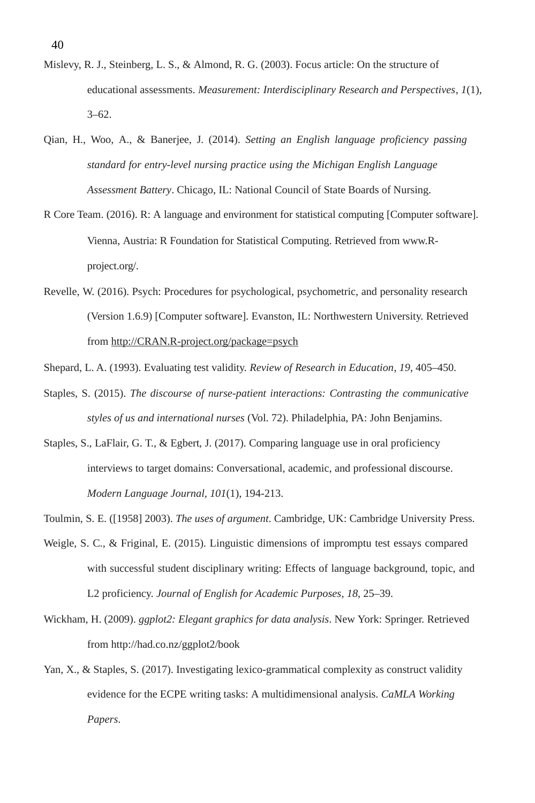- Mislevy, R. J., Steinberg, L. S., & Almond, R. G. (2003). Focus article: On the structure of educational assessments. *Measurement: Interdisciplinary Research and Perspectives*, *1*(1), 3–62.
- Qian, H., Woo, A., & Banerjee, J. (2014). *Setting an English language proficiency passing standard for entry-level nursing practice using the Michigan English Language Assessment Battery*. Chicago, IL: National Council of State Boards of Nursing.
- R Core Team. (2016). R: A language and environment for statistical computing [Computer software]. Vienna, Austria: R Foundation for Statistical Computing. Retrieved from www.Rproject.org/.
- Revelle, W. (2016). Psych: Procedures for psychological, psychometric, and personality research (Version 1.6.9) [Computer software]. Evanston, IL: Northwestern University. Retrieved from<http://CRAN.R-project.org/package=psych>
- Shepard, L. A. (1993). Evaluating test validity. *Review of Research in Education*, *19*, 405–450.
- Staples, S. (2015). *The discourse of nurse-patient interactions: Contrasting the communicative styles of us and international nurses* (Vol. 72). Philadelphia, PA: John Benjamins.
- Staples, S., LaFlair, G. T., & Egbert, J. (2017). Comparing language use in oral proficiency interviews to target domains: Conversational, academic, and professional discourse. *Modern Language Journal, 101*(1), 194-213.
- Toulmin, S. E. ([1958] 2003). *The uses of argument*. Cambridge, UK: Cambridge University Press.
- Weigle, S. C., & Friginal, E. (2015). Linguistic dimensions of impromptu test essays compared with successful student disciplinary writing: Effects of language background, topic, and L2 proficiency. *Journal of English for Academic Purposes*, *18*, 25–39.
- Wickham, H. (2009). *ggplot2: Elegant graphics for data analysis*. New York: Springer. Retrieved from http://had.co.nz/ggplot2/book
- Yan, X., & Staples, S. (2017). Investigating lexico-grammatical complexity as construct validity evidence for the ECPE writing tasks: A multidimensional analysis. *CaMLA Working Papers*.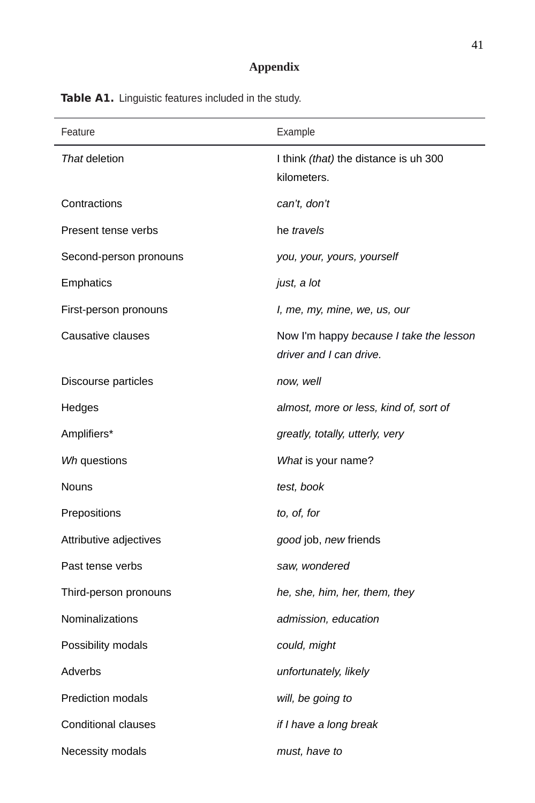**Table A1.** Linguistic features included in the study.

| Feature                    | Example                                                            |
|----------------------------|--------------------------------------------------------------------|
| That deletion              | I think (that) the distance is uh 300<br>kilometers.               |
| Contractions               | can't, don't                                                       |
| Present tense verbs        | he <i>travels</i>                                                  |
| Second-person pronouns     | you, your, yours, yourself                                         |
| Emphatics                  | just, a lot                                                        |
| First-person pronouns      | I, me, my, mine, we, us, our                                       |
| Causative clauses          | Now I'm happy because I take the lesson<br>driver and I can drive. |
| Discourse particles        | now, well                                                          |
| Hedges                     | almost, more or less, kind of, sort of                             |
| Amplifiers*                | greatly, totally, utterly, very                                    |
| Wh questions               | What is your name?                                                 |
| Nouns                      | test, book                                                         |
| Prepositions               | to, of, for                                                        |
| Attributive adjectives     | good job, new friends                                              |
| Past tense verbs           | saw, wondered                                                      |
| Third-person pronouns      | he, she, him, her, them, they                                      |
| Nominalizations            | admission, education                                               |
| Possibility modals         | could, might                                                       |
| Adverbs                    | unfortunately, likely                                              |
| <b>Prediction modals</b>   | will, be going to                                                  |
| <b>Conditional clauses</b> | if I have a long break                                             |
| Necessity modals           | must, have to                                                      |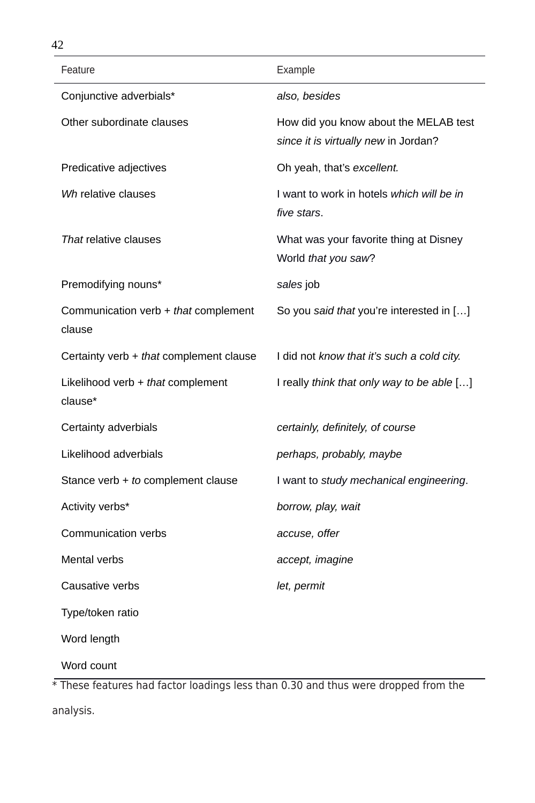| Feature                                                                                          | Example                                                                       |
|--------------------------------------------------------------------------------------------------|-------------------------------------------------------------------------------|
| Conjunctive adverbials*                                                                          | also, besides                                                                 |
| Other subordinate clauses                                                                        | How did you know about the MELAB test<br>since it is virtually new in Jordan? |
| Predicative adjectives                                                                           | Oh yeah, that's excellent.                                                    |
| Wh relative clauses                                                                              | I want to work in hotels which will be in<br>five stars.                      |
| That relative clauses                                                                            | What was your favorite thing at Disney<br>World that you saw?                 |
| Premodifying nouns*                                                                              | sales job                                                                     |
| Communication verb + that complement<br>clause                                                   | So you said that you're interested in []                                      |
| Certainty verb + that complement clause                                                          | I did not know that it's such a cold city.                                    |
| Likelihood verb $+$ that complement<br>clause*                                                   | I really think that only way to be able []                                    |
| Certainty adverbials                                                                             | certainly, definitely, of course                                              |
| Likelihood adverbials                                                                            | perhaps, probably, maybe                                                      |
| Stance verb + to complement clause                                                               | I want to study mechanical engineering.                                       |
| Activity verbs*                                                                                  | borrow, play, wait                                                            |
| Communication verbs                                                                              | accuse, offer                                                                 |
| Mental verbs                                                                                     | accept, imagine                                                               |
| Causative verbs                                                                                  | let, permit                                                                   |
| Type/token ratio                                                                                 |                                                                               |
| Word length                                                                                      |                                                                               |
| Word count<br>* These features had factor loadings less than 0.30 and thus were dropped from the |                                                                               |

\* These features had factor loadings less than 0.30 and thus were dropped from the analysis.